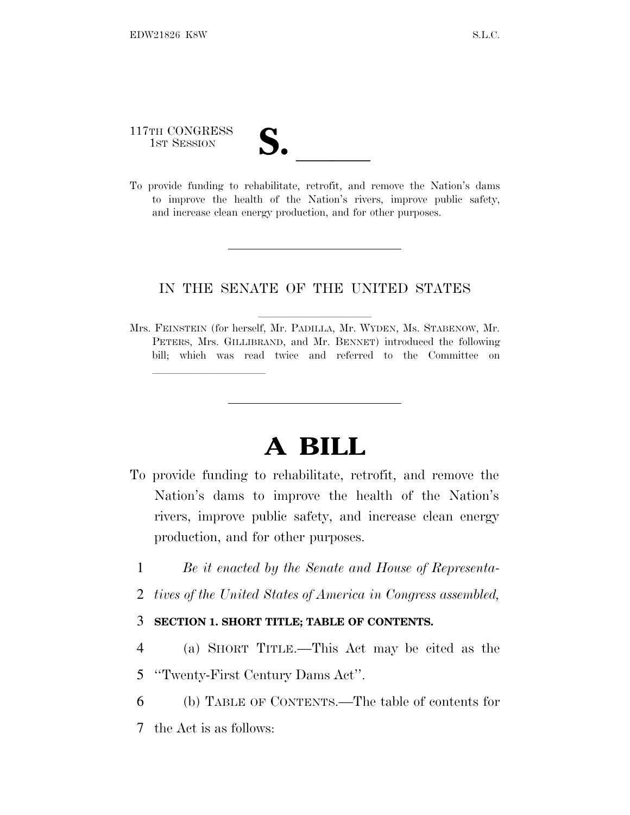117TH CONGRESS

lla se anno 1920, a constituída a constituída a constituída a constituída a constituída a constituída a consti<br>En 1920, a constituída a constituída a constituída a constituída a constituída a constituída a constituída a c

117TH CONGRESS<br>
1ST SESSION<br>
To provide funding to rehabilitate, retrofit, and remove the Nation's dams to improve the health of the Nation's rivers, improve public safety, and increase clean energy production, and for other purposes.

# IN THE SENATE OF THE UNITED STATES

Mrs. FEINSTEIN (for herself, Mr. PADILLA, Mr. WYDEN, Ms. STABENOW, Mr. PETERS, Mrs. GILLIBRAND, and Mr. BENNET) introduced the following bill; which was read twice and referred to the Committee on

# **A BILL**

- To provide funding to rehabilitate, retrofit, and remove the Nation's dams to improve the health of the Nation's rivers, improve public safety, and increase clean energy production, and for other purposes.
	- 1 *Be it enacted by the Senate and House of Representa-*
	- 2 *tives of the United States of America in Congress assembled,*

## 3 **SECTION 1. SHORT TITLE; TABLE OF CONTENTS.**

- 4 (a) SHORT TITLE.—This Act may be cited as the
- 5 ''Twenty-First Century Dams Act''.
- 6 (b) TABLE OF CONTENTS.—The table of contents for
- 7 the Act is as follows: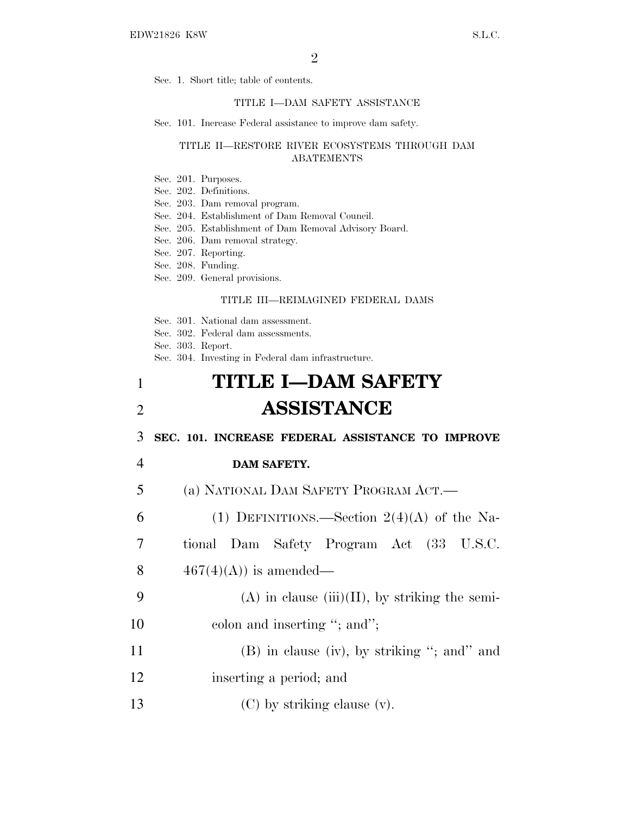Sec. 1. Short title; table of contents.

#### TITLE I—DAM SAFETY ASSISTANCE

Sec. 101. Increase Federal assistance to improve dam safety.

#### TITLE II—RESTORE RIVER ECOSYSTEMS THROUGH DAM **ABATEMENTS**

- Sec. 201. Purposes.
- Sec. 202. Definitions.

Sec. 203. Dam removal program.

- Sec. 204. Establishment of Dam Removal Council.
- Sec. 205. Establishment of Dam Removal Advisory Board.
- Sec. 206. Dam removal strategy.
- Sec. 207. Reporting.
- Sec. 208. Funding.
- Sec. 209. General provisions.

#### TITLE III—REIMAGINED FEDERAL DAMS

- Sec. 301. National dam assessment.
- Sec. 302. Federal dam assessments.
- Sec. 303. Report.
- Sec. 304. Investing in Federal dam infrastructure.

# 1 **TITLE I—DAM SAFETY** 2 **ASSISTANCE**

3 **SEC. 101. INCREASE FEDERAL ASSISTANCE TO IMPROVE**

### 4 **DAM SAFETY.**

- 5 (a) NATIONAL DAM SAFETY PROGRAM ACT.— 6 (1) DEFINITIONS.—Section  $2(4)(A)$  of the Na-
- 7 tional Dam Safety Program Act (33 U.S.C.
- 8  $467(4)(A)$  is amended—
- 9 (A) in clause (iii)(II), by striking the semi-10 colon and inserting "; and";
- 11 (B) in clause (iv), by striking "; and" and 12 inserting a period; and
- 
- 13 (C) by striking clause (v).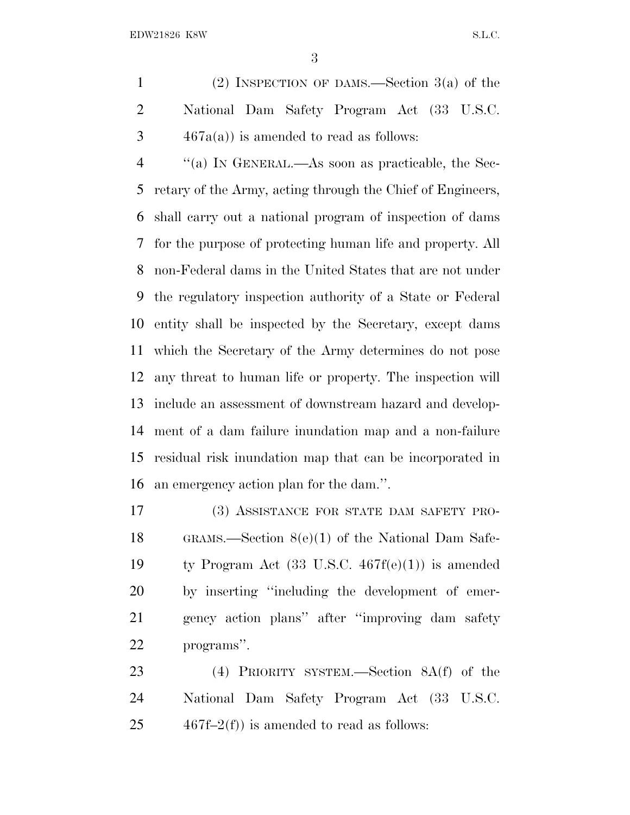(2) INSPECTION OF DAMS.—Section 3(a) of the National Dam Safety Program Act (33 U.S.C.  $3 \t 467a(a)$  is amended to read as follows:

 ''(a) I<sup>N</sup> GENERAL.—As soon as practicable, the Sec- retary of the Army, acting through the Chief of Engineers, shall carry out a national program of inspection of dams for the purpose of protecting human life and property. All non-Federal dams in the United States that are not under the regulatory inspection authority of a State or Federal entity shall be inspected by the Secretary, except dams which the Secretary of the Army determines do not pose any threat to human life or property. The inspection will include an assessment of downstream hazard and develop- ment of a dam failure inundation map and a non-failure residual risk inundation map that can be incorporated in an emergency action plan for the dam.''.

 (3) ASSISTANCE FOR STATE DAM SAFETY PRO- GRAMS.—Section 8(e)(1) of the National Dam Safe-19 ty Program Act  $(33 \text{ U.S.C. } 467f(e)(1))$  is amended by inserting ''including the development of emer- gency action plans'' after ''improving dam safety programs''.

 (4) PRIORITY SYSTEM.—Section 8A(f) of the National Dam Safety Program Act (33 U.S.C. 25  $467f-2(f)$  is amended to read as follows: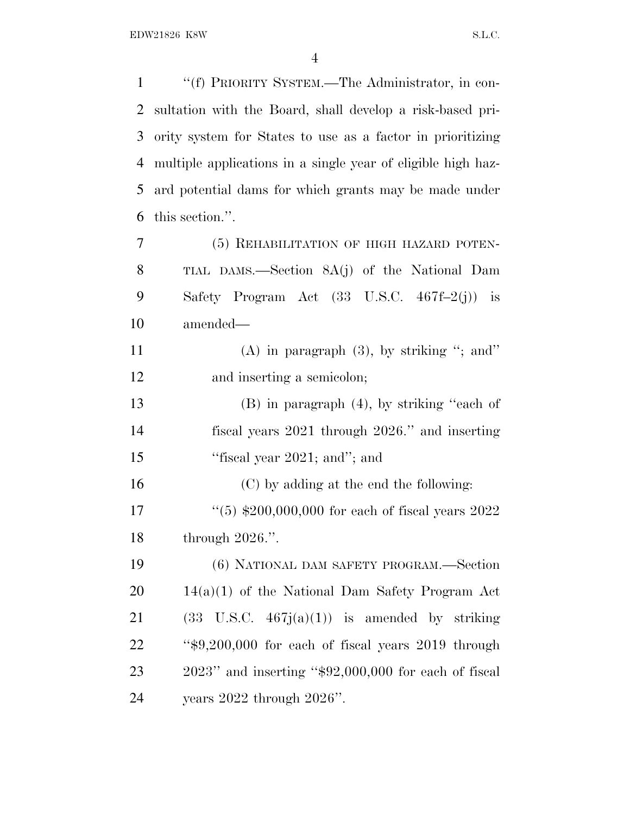| $\mathbf{1}$   | "(f) PRIORITY SYSTEM.—The Administrator, in con-             |
|----------------|--------------------------------------------------------------|
| $\overline{2}$ | sultation with the Board, shall develop a risk-based pri-    |
| 3              | ority system for States to use as a factor in prioritizing   |
| 4              | multiple applications in a single year of eligible high haz- |
| 5              | ard potential dams for which grants may be made under        |
| 6              | this section.".                                              |
| 7              | (5) REHABILITATION OF HIGH HAZARD POTEN-                     |
| 8              | TIAL DAMS.—Section 8A(j) of the National Dam                 |
| 9              | Safety Program Act $(33 \text{ U.S.C. } 467f-2(j))$ is       |
| 10             | amended—                                                     |
| 11             | (A) in paragraph $(3)$ , by striking "; and"                 |
| 12             | and inserting a semicolon;                                   |
| 13             | $(B)$ in paragraph $(4)$ , by striking "each of              |
| 14             | fiscal years 2021 through 2026." and inserting               |
| 15             | "fiscal year 2021; and"; and                                 |
| 16             | (C) by adding at the end the following:                      |
| 17             | $(5)$ \$200,000,000 for each of fiscal years 2022            |
| 18             | through $2026$ .".                                           |
| 19             | (6) NATIONAL DAM SAFETY PROGRAM.—Section                     |
| 20             | $14(a)(1)$ of the National Dam Safety Program Act            |
| 21             | $(33 \text{ U.S.C. } 467j(a)(1))$ is amended by striking     |
| 22             | " $$9,200,000$ for each of fiscal years 2019 through         |
| 23             | $2023"$ and inserting " $$92,000,000$ for each of fiscal     |
| 24             | years $2022$ through $2026$ ".                               |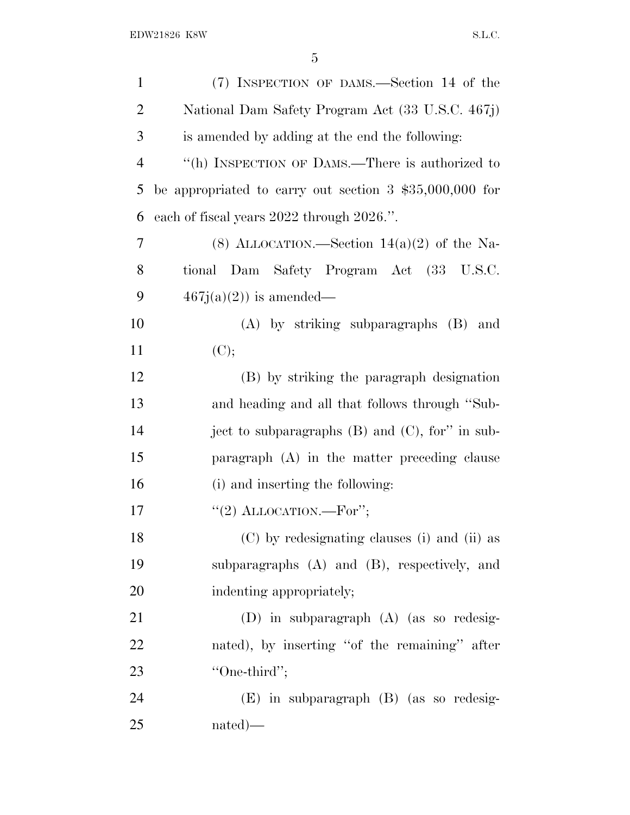| $\mathbf{1}$   | (7) INSPECTION OF DAMS.—Section 14 of the                        |
|----------------|------------------------------------------------------------------|
| $\overline{2}$ | National Dam Safety Program Act (33 U.S.C. 467j)                 |
| 3              | is amended by adding at the end the following:                   |
| $\overline{4}$ | "(h) INSPECTION OF DAMS.—There is authorized to                  |
| 5              | be appropriated to carry out section $3\text{ } $35,000,000$ for |
| 6              | each of fiscal years 2022 through 2026.".                        |
| 7              | (8) ALLOCATION.—Section $14(a)(2)$ of the Na-                    |
| 8              | Dam Safety Program Act (33 U.S.C.<br>tional                      |
| 9              | $467j(a)(2)$ is amended—                                         |
| 10             | $(A)$ by striking subparagraphs $(B)$ and                        |
| 11             | (C);                                                             |
| 12             | (B) by striking the paragraph designation                        |
| 13             | and heading and all that follows through "Sub-                   |
| 14             | ject to subparagraphs $(B)$ and $(C)$ , for" in sub-             |
| 15             | paragraph $(A)$ in the matter preceding clause                   |
| 16             | (i) and inserting the following:                                 |
| 17             | "(2) ALLOCATION.—For";                                           |
| 18             | (C) by redesignating clauses (i) and (ii) as                     |
| 19             | subparagraphs $(A)$ and $(B)$ , respectively, and                |
| 20             | indenting appropriately;                                         |
| 21             | $(D)$ in subparagraph $(A)$ (as so redesig-                      |
| 22             | nated), by inserting "of the remaining" after                    |
| 23             | "One-third";                                                     |
| 24             | $(E)$ in subparagraph $(B)$ (as so redesig-                      |
| 25             | $nated)$ —                                                       |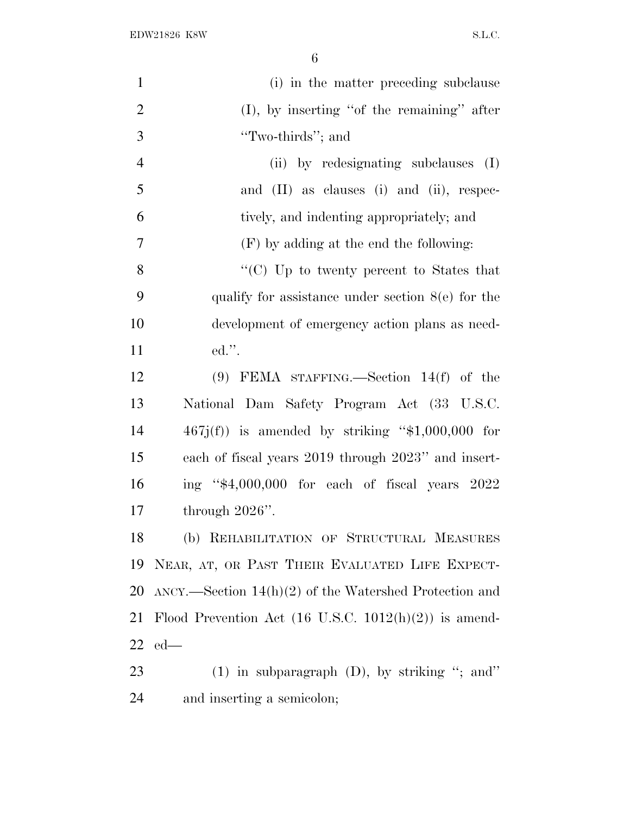| $\mathbf{1}$   | (i) in the matter preceding subclause                            |
|----------------|------------------------------------------------------------------|
| $\overline{2}$ | $(I)$ , by inserting "of the remaining" after                    |
| 3              | "Two-thirds"; and                                                |
| $\overline{4}$ | (ii) by redesignating subclauses (I)                             |
| 5              | and (II) as clauses (i) and (ii), respec-                        |
| 6              | tively, and indenting appropriately; and                         |
| $\tau$         | $(F)$ by adding at the end the following:                        |
| 8              | "(C) Up to twenty percent to States that                         |
| 9              | qualify for assistance under section $8(e)$ for the              |
| 10             | development of emergency action plans as need-                   |
| 11             | ed.''.                                                           |
| 12             | $(9)$ FEMA STAFFING.—Section 14(f) of the                        |
| 13             | National Dam Safety Program Act (33 U.S.C.                       |
| 14             | $467j(f)$ is amended by striking "\$1,000,000 for                |
| 15             | each of fiscal years 2019 through 2023" and insert-              |
| 16             | ing "\$4,000,000 for each of fiscal years 2022                   |
| 17             | through $2026$ ".                                                |
| 18             | (b) REHABILITATION OF STRUCTURAL MEASURES                        |
| 19             | NEAR, AT, OR PAST THEIR EVALUATED LIFE EXPECT-                   |
| 20             | $ANCY.$ Section 14(h)(2) of the Watershed Protection and         |
| 21             | Flood Prevention Act $(16 \text{ U.S.C. } 1012(h)(2))$ is amend- |
| 22             | $ed$ —                                                           |
| 23             | $(1)$ in subparagraph $(D)$ , by striking "; and"                |
| 24             | and inserting a semicolon;                                       |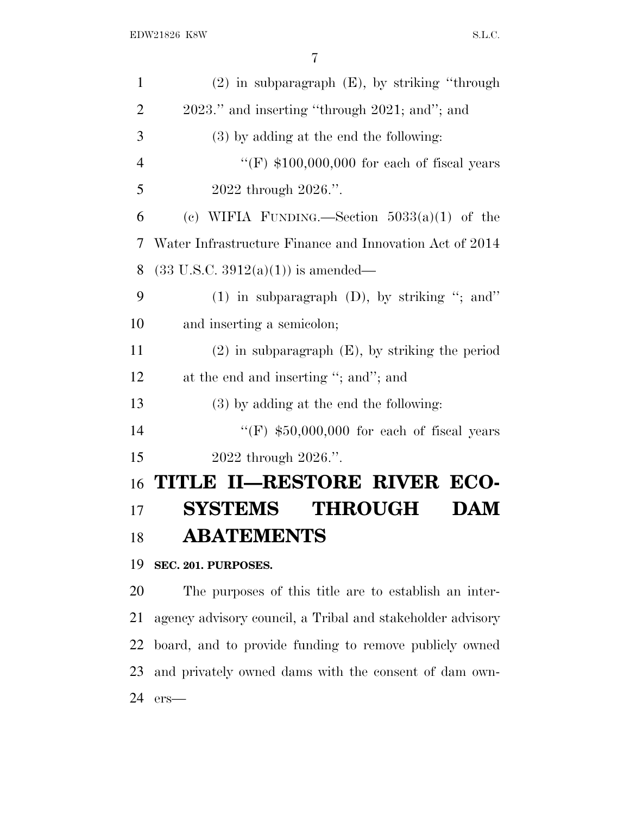| $\mathbf{1}$   | $(2)$ in subparagraph $(E)$ , by striking "through      |
|----------------|---------------------------------------------------------|
| $\overline{2}$ | 2023." and inserting "through 2021; and"; and           |
| 3              | (3) by adding at the end the following:                 |
| $\overline{4}$ | "(F) $$100,000,000$ for each of fiscal years            |
| 5              | 2022 through 2026.".                                    |
| 6              | (c) WIFIA FUNDING.—Section $5033(a)(1)$ of the          |
| 7              | Water Infrastructure Finance and Innovation Act of 2014 |
| 8              | $(33 \text{ U.S.C. } 3912(a)(1))$ is amended—           |
| 9              | $(1)$ in subparagraph $(D)$ , by striking "; and"       |
| 10             | and inserting a semicolon;                              |
| 11             | $(2)$ in subparagraph $(E)$ , by striking the period    |
| 12             | at the end and inserting "; and"; and                   |
| 13             | (3) by adding at the end the following:                 |
| 14             | "(F) $$50,000,000$ for each of fiscal years             |
| 15             | 2022 through 2026.".                                    |
| 16             | TITLE II-RESTORE RIVER ECO-                             |
| 17             | <b>SYSTEMS THROUGH</b><br><b>DAM</b>                    |
| 18             | <b>ABATEMENTS</b>                                       |
| 19             | SEC. 201. PURPOSES.                                     |
| 20             | The purposes of this title are to establish an inter-   |

 agency advisory council, a Tribal and stakeholder advisory board, and to provide funding to remove publicly owned and privately owned dams with the consent of dam own-ers—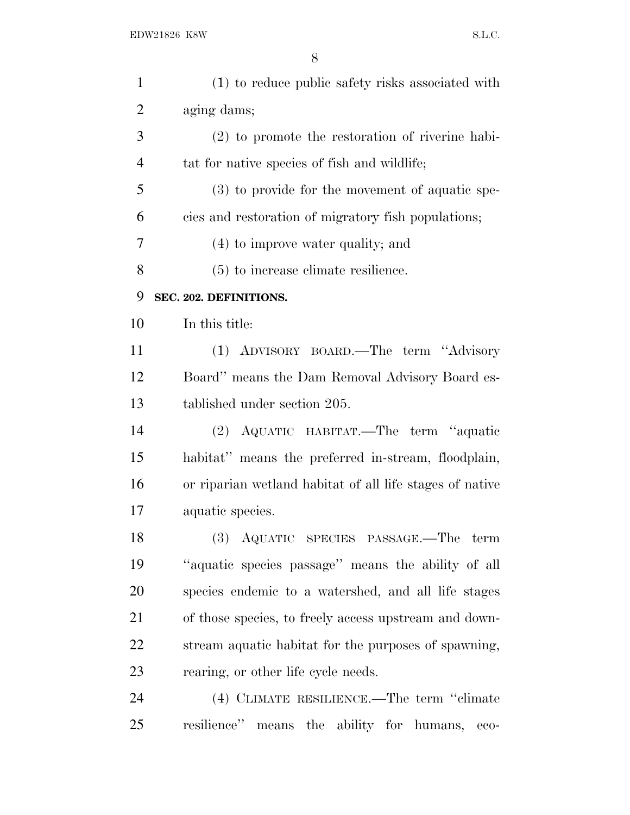| $\mathbf{1}$   | (1) to reduce public safety risks associated with        |
|----------------|----------------------------------------------------------|
| $\overline{2}$ | aging dams;                                              |
| 3              | $(2)$ to promote the restoration of riverine habi-       |
| $\overline{4}$ | tat for native species of fish and wildlife;             |
| 5              | $(3)$ to provide for the movement of aquatic spe-        |
| 6              | cies and restoration of migratory fish populations;      |
| 7              | $(4)$ to improve water quality; and                      |
| 8              | $(5)$ to increase climate resilience.                    |
| 9              | SEC. 202. DEFINITIONS.                                   |
| 10             | In this title:                                           |
| 11             | (1) ADVISORY BOARD.—The term "Advisory                   |
| 12             | Board" means the Dam Removal Advisory Board es-          |
| 13             | tablished under section 205.                             |
| 14             | AQUATIC HABITAT.—The term "aquatic<br>(2)                |
| 15             | habitat" means the preferred in-stream, floodplain,      |
| 16             | or riparian wetland habitat of all life stages of native |
| 17             | aquatic species.                                         |
| 18             | (3) AQUATIC SPECIES PASSAGE.—The term                    |
| 19             | "aquatic species passage" means the ability of all       |
| 20             | species endemic to a watershed, and all life stages      |
| 21             | of those species, to freely access upstream and down-    |
| 22             | stream aquatic habitat for the purposes of spawning,     |
| 23             | rearing, or other life cycle needs.                      |
| 24             | (4) CLIMATE RESILIENCE.—The term "climate                |
| 25             | resilience" means the ability for humans,<br>eco-        |
|                |                                                          |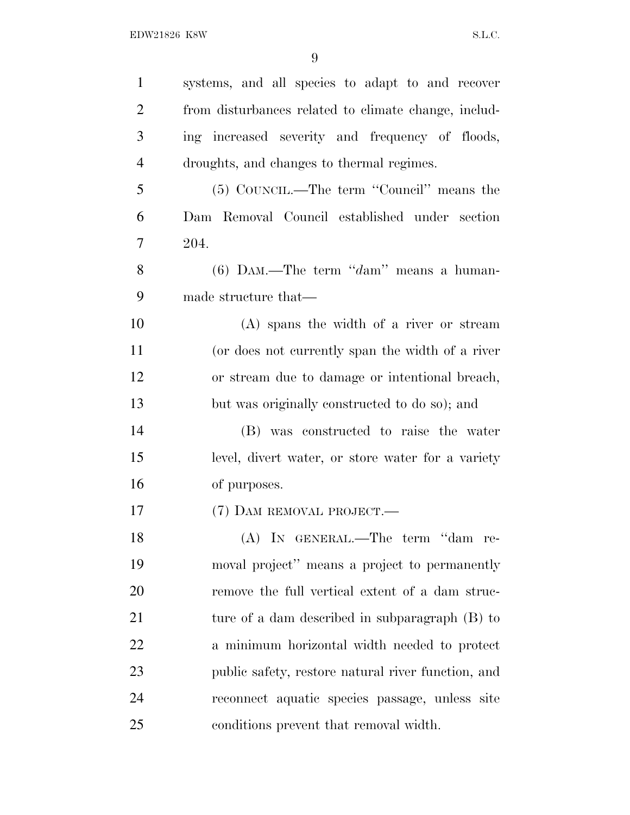| $\mathbf{1}$   | systems, and all species to adapt to and recover     |
|----------------|------------------------------------------------------|
| $\overline{2}$ | from disturbances related to climate change, includ- |
| 3              | ing increased severity and frequency of floods,      |
| $\overline{4}$ | droughts, and changes to thermal regimes.            |
| 5              | (5) COUNCIL.—The term "Council" means the            |
| 6              | Dam Removal Council established under section        |
| 7              | 204.                                                 |
| 8              | $(6)$ DAM.—The term "dam" means a human-             |
| 9              | made structure that—                                 |
| 10             | (A) spans the width of a river or stream             |
| 11             | (or does not currently span the width of a river     |
| 12             | or stream due to damage or intentional breach,       |
| 13             | but was originally constructed to do so); and        |
| 14             | (B) was constructed to raise the water               |
| 15             | level, divert water, or store water for a variety    |
| 16             | of purposes.                                         |
| 17             | (7) DAM REMOVAL PROJECT.—                            |
| 18             | (A) IN GENERAL.—The term "dam<br>re-                 |
| 19             | moval project" means a project to permanently        |
| 20             | remove the full vertical extent of a dam struc-      |
| 21             | ture of a dam described in subparagraph (B) to       |
| 22             | a minimum horizontal width needed to protect         |
| 23             | public safety, restore natural river function, and   |
| 24             | reconnect aquatic species passage, unless site       |
| 25             | conditions prevent that removal width.               |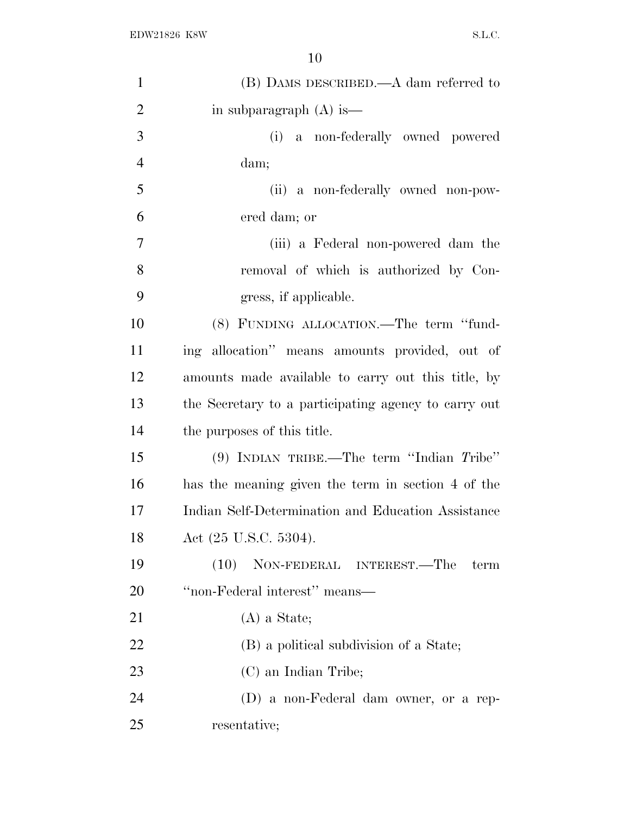| $\mathbf{1}$   | (B) DAMS DESCRIBED.—A dam referred to                |
|----------------|------------------------------------------------------|
| $\overline{2}$ | in subparagraph $(A)$ is —                           |
| 3              | a non-federally owned powered<br>(i)                 |
| $\overline{4}$ | dam;                                                 |
| 5              | (ii) a non-federally owned non-pow-                  |
| 6              | ered dam; or                                         |
| $\overline{7}$ | (iii) a Federal non-powered dam the                  |
| 8              | removal of which is authorized by Con-               |
| 9              | gress, if applicable.                                |
| 10             | (8) FUNDING ALLOCATION.—The term "fund-              |
| 11             | ing allocation" means amounts provided, out of       |
| 12             | amounts made available to carry out this title, by   |
| 13             | the Secretary to a participating agency to carry out |
| 14             | the purposes of this title.                          |
| 15             | $(9)$ INDIAN TRIBE.—The term "Indian Tribe"          |
| 16             | has the meaning given the term in section 4 of the   |
| 17             | Indian Self-Determination and Education Assistance   |
| 18             | Act (25 U.S.C. 5304).                                |
| 19             | (10)<br>NON-FEDERAL INTEREST.—The<br>term            |
| 20             | "non-Federal interest" means-                        |
| 21             | $(A)$ a State;                                       |
| 22             | (B) a political subdivision of a State;              |
| 23             | (C) an Indian Tribe;                                 |
| 24             | (D) a non-Federal dam owner, or a rep-               |
| 25             | resentative;                                         |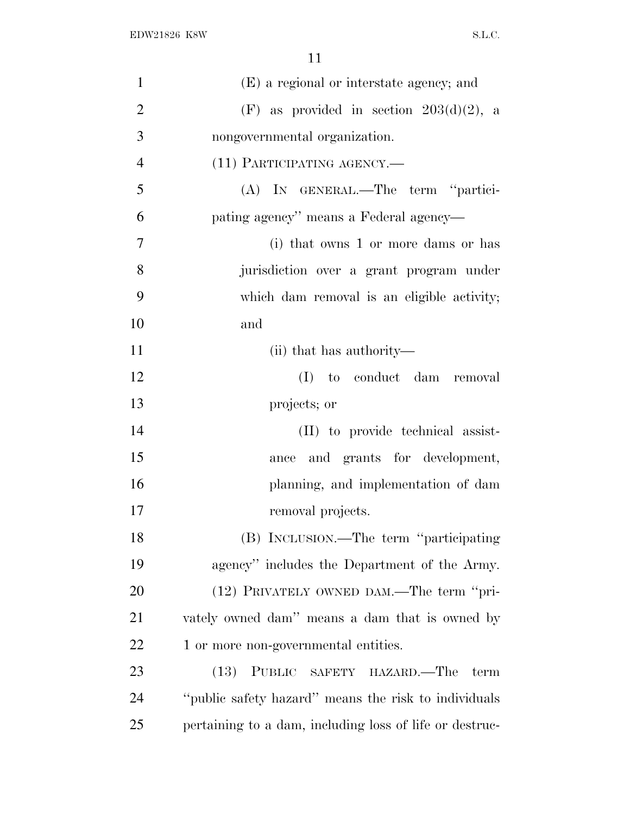| $\mathbf{1}$   |                                                         |
|----------------|---------------------------------------------------------|
|                | (E) a regional or interstate agency; and                |
| $\overline{2}$ | (F) as provided in section $203(d)(2)$ , a              |
| 3              | nongovernmental organization.                           |
| $\overline{4}$ | (11) PARTICIPATING AGENCY.—                             |
| 5              | (A) IN GENERAL.—The term "partici-                      |
| 6              | pating agency" means a Federal agency-                  |
| 7              | (i) that owns 1 or more dams or has                     |
| 8              | jurisdiction over a grant program under                 |
| 9              | which dam removal is an eligible activity;              |
| 10             | and                                                     |
| 11             | (ii) that has authority—                                |
| 12             | (I) to conduct dam removal                              |
| 13             | projects; or                                            |
| 14             | (II) to provide technical assist-                       |
| 15             | ance and grants for development,                        |
| 16             | planning, and implementation of dam                     |
| 17             | removal projects.                                       |
| 18             | (B) INCLUSION.—The term "participating                  |
| 19             | agency" includes the Department of the Army.            |
| 20             | (12) PRIVATELY OWNED DAM.—The term "pri-                |
| 21             | vately owned dam" means a dam that is owned by          |
| <u>22</u>      | 1 or more non-governmental entities.                    |
| 23             | PUBLIC SAFETY HAZARD.—The<br>(13)<br>term               |
| 24             | "public safety hazard" means the risk to individuals    |
| 25             | pertaining to a dam, including loss of life or destruc- |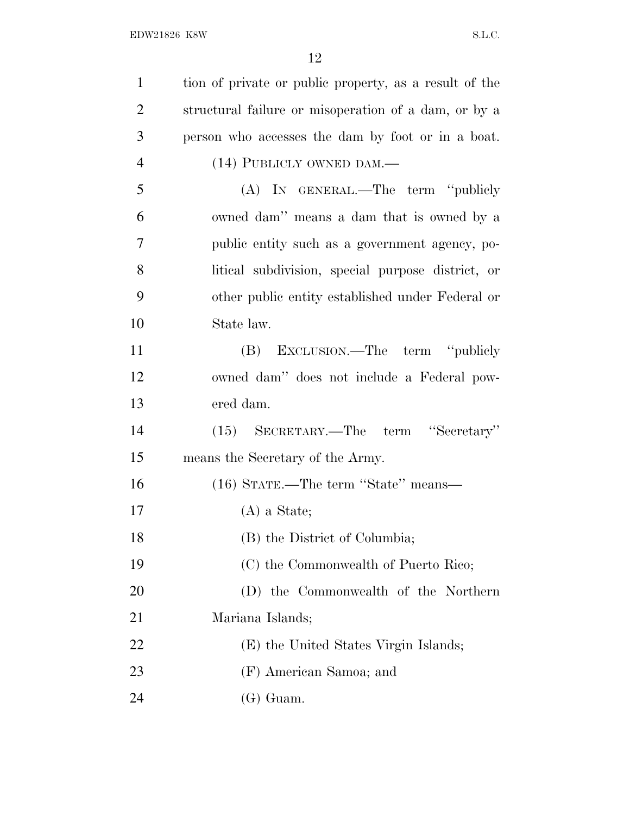| $\mathbf{1}$   | tion of private or public property, as a result of the |
|----------------|--------------------------------------------------------|
| $\overline{2}$ | structural failure or misoperation of a dam, or by a   |
| 3              | person who accesses the dam by foot or in a boat.      |
| $\overline{4}$ | (14) PUBLICLY OWNED DAM.—                              |
| 5              | (A) IN GENERAL.—The term "publicly                     |
| 6              | owned dam" means a dam that is owned by a              |
| $\overline{7}$ | public entity such as a government agency, po-         |
| 8              | litical subdivision, special purpose district, or      |
| 9              | other public entity established under Federal or       |
| 10             | State law.                                             |
| 11             | EXCLUSION.—The term "publicly"<br>(B)                  |
| 12             | owned dam" does not include a Federal pow-             |
| 13             | ered dam.                                              |
| 14             | (15) SECRETARY.—The term "Secretary"                   |
| 15             | means the Secretary of the Army.                       |
| 16             | (16) STATE.—The term "State" means—                    |
| 17             | $(A)$ a State;                                         |
| 18             | (B) the District of Columbia;                          |
| 19             | (C) the Commonwealth of Puerto Rico;                   |
| 20             | (D) the Commonwealth of the Northern                   |
| 21             | Mariana Islands;                                       |
| 22             | (E) the United States Virgin Islands;                  |
| 23             | (F) American Samoa; and                                |
| 24             | $(G)$ Guam.                                            |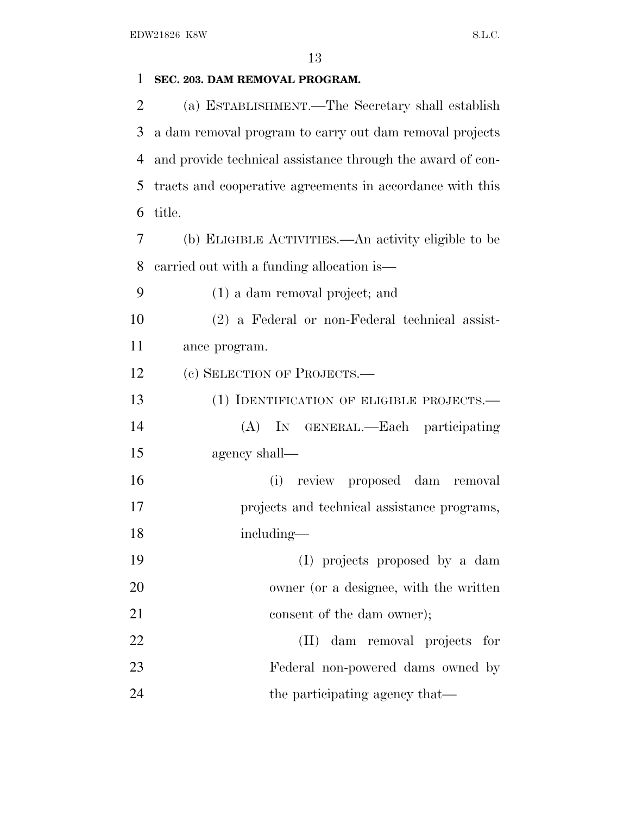# **SEC. 203. DAM REMOVAL PROGRAM.**

 (a) ESTABLISHMENT.—The Secretary shall establish a dam removal program to carry out dam removal projects and provide technical assistance through the award of con- tracts and cooperative agreements in accordance with this title.

 (b) ELIGIBLE ACTIVITIES.—An activity eligible to be carried out with a funding allocation is—

(1) a dam removal project; and

 (2) a Federal or non-Federal technical assist-ance program.

12 (c) SELECTION OF PROJECTS.—

13 (1) IDENTIFICATION OF ELIGIBLE PROJECTS.— (A) IN GENERAL.—Each participating agency shall—

 (i) review proposed dam removal projects and technical assistance programs, including—

 (I) projects proposed by a dam owner (or a designee, with the written 21 consent of the dam owner);

 (II) dam removal projects for Federal non-powered dams owned by 24 the participating agency that—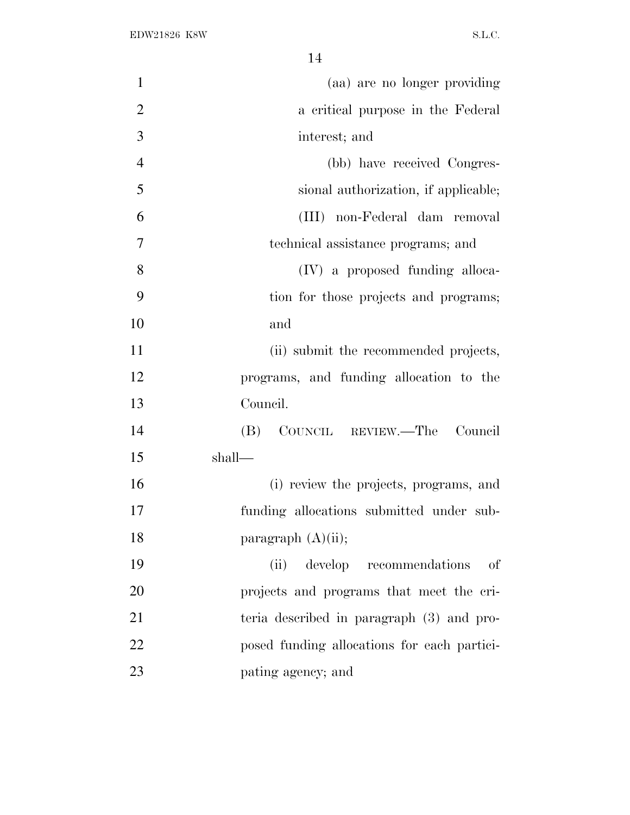| $\mathbf{1}$   | (aa) are no longer providing                |
|----------------|---------------------------------------------|
| $\mathbf{2}$   | a critical purpose in the Federal           |
| 3              | interest; and                               |
| $\overline{4}$ | (bb) have received Congres-                 |
| 5              | sional authorization, if applicable;        |
| 6              | (III) non-Federal dam removal               |
| $\overline{7}$ | technical assistance programs; and          |
| 8              | (IV) a proposed funding alloca-             |
| 9              | tion for those projects and programs;       |
| 10             | and                                         |
| 11             | (ii) submit the recommended projects,       |
| 12             | programs, and funding allocation to the     |
| 13             | Council.                                    |
| 14             | COUNCIL REVIEW.—The Council<br>(B)          |
| 15             | shall—                                      |
| 16             | (i) review the projects, programs, and      |
| 17             | funding allocations submitted under sub-    |
| 18             | paragraph $(A)(ii)$ ;                       |
| 19             | (ii)<br>develop recommendations<br>of       |
| 20             | projects and programs that meet the cri-    |
| 21             | teria described in paragraph (3) and pro-   |
| 22             | posed funding allocations for each partici- |
| 23             | pating agency; and                          |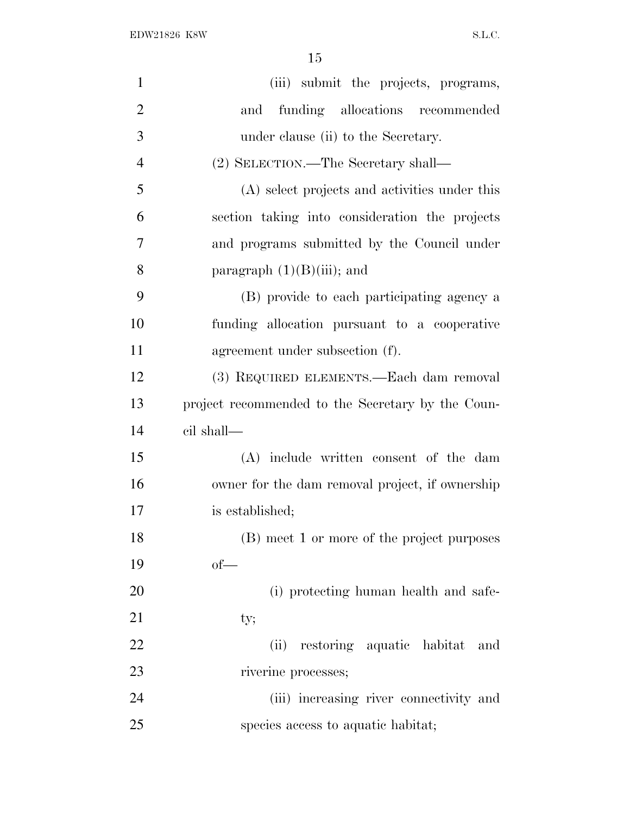| $\mathbf{1}$   | (iii) submit the projects, programs,              |
|----------------|---------------------------------------------------|
| $\overline{2}$ | and funding allocations recommended               |
| 3              | under clause (ii) to the Secretary.               |
| $\overline{4}$ | (2) SELECTION.—The Secretary shall—               |
| 5              | (A) select projects and activities under this     |
| 6              | section taking into consideration the projects    |
| 7              | and programs submitted by the Council under       |
| 8              | paragraph $(1)(B)(iii)$ ; and                     |
| 9              | (B) provide to each participating agency a        |
| 10             | funding allocation pursuant to a cooperative      |
| 11             | agreement under subsection (f).                   |
| 12             | (3) REQUIRED ELEMENTS.—Each dam removal           |
| 13             | project recommended to the Secretary by the Coun- |
| 14             | cil shall—                                        |
| 15             | (A) include written consent of the dam            |
| 16             | owner for the dam removal project, if ownership   |
| 17             | is established;                                   |
| 18             | (B) meet 1 or more of the project purposes        |
| 19             | $of$ —                                            |
| 20             | (i) protecting human health and safe-             |
| 21             | ty;                                               |
| 22             | restoring aquatic habitat<br>(ii)<br>and          |
| 23             | riverine processes;                               |
| 24             | (iii) increasing river connectivity and           |
| 25             | species access to aquatic habitat;                |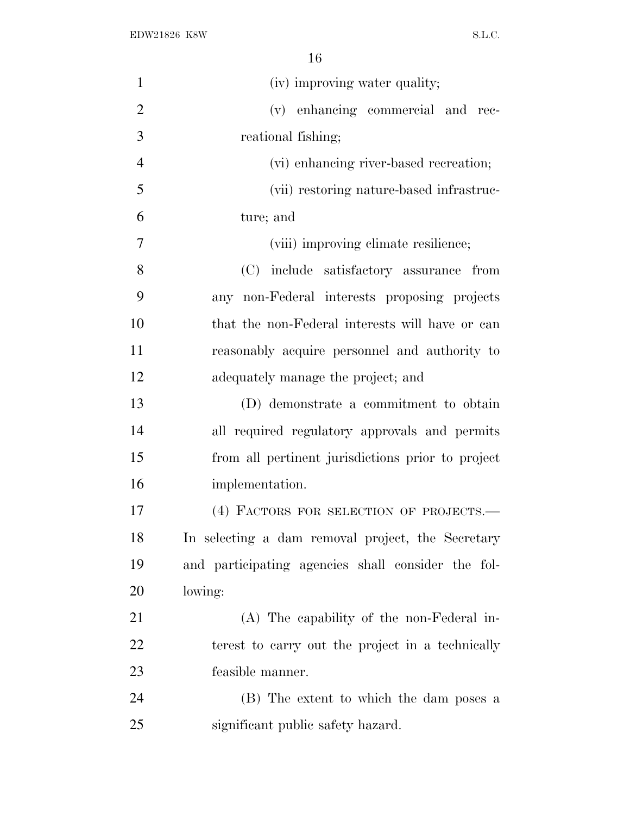| $\mathbf{1}$   | (iv) improving water quality;                      |
|----------------|----------------------------------------------------|
| $\overline{2}$ | (v) enhancing commercial and rec-                  |
| 3              | reational fishing;                                 |
| $\overline{4}$ | (vi) enhancing river-based recreation;             |
| 5              | (vii) restoring nature-based infrastruc-           |
| 6              | ture; and                                          |
| 7              | (viii) improving climate resilience;               |
| 8              | (C) include satisfactory assurance from            |
| 9              | any non-Federal interests proposing projects       |
| 10             | that the non-Federal interests will have or can    |
| 11             | reasonably acquire personnel and authority to      |
| 12             | adequately manage the project; and                 |
| 13             | (D) demonstrate a commitment to obtain             |
| 14             | all required regulatory approvals and permits      |
| 15             | from all pertinent jurisdictions prior to project  |
| 16             | implementation.                                    |
| 17             | (4) FACTORS FOR SELECTION OF PROJECTS.             |
| 18             | In selecting a dam removal project, the Secretary  |
| 19             | and participating agencies shall consider the fol- |
| 20             | lowing:                                            |
| 21             | (A) The capability of the non-Federal in-          |
| 22             | terest to carry out the project in a technically   |
| 23             | feasible manner.                                   |
| 24             | (B) The extent to which the dam poses a            |
| 25             | significant public safety hazard.                  |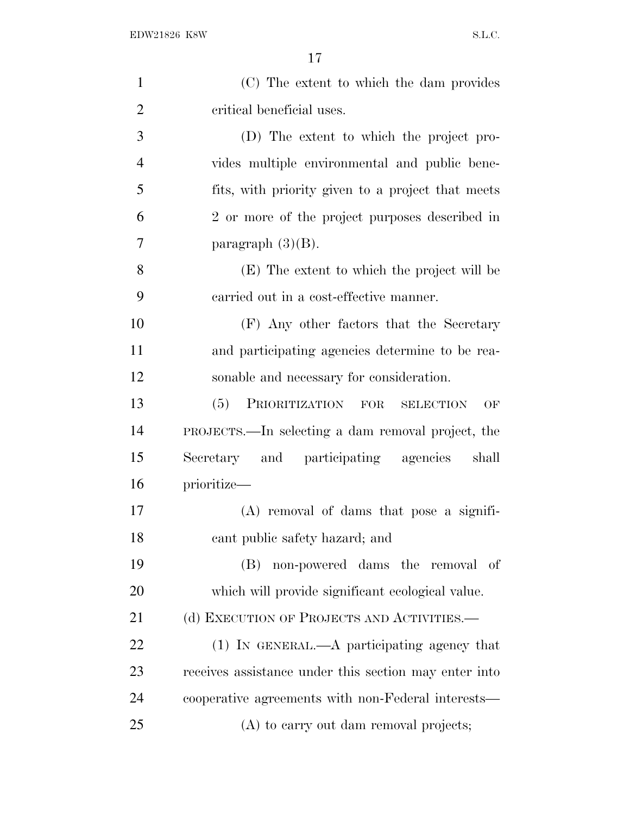| $\mathbf{1}$   | (C) The extent to which the dam provides               |
|----------------|--------------------------------------------------------|
| $\overline{2}$ | critical beneficial uses.                              |
| 3              | (D) The extent to which the project pro-               |
| 4              | vides multiple environmental and public bene-          |
| 5              | fits, with priority given to a project that meets      |
| 6              | 2 or more of the project purposes described in         |
| 7              | paragraph $(3)(B)$ .                                   |
| 8              | (E) The extent to which the project will be            |
| 9              | carried out in a cost-effective manner.                |
| 10             | (F) Any other factors that the Secretary               |
| 11             | and participating agencies determine to be rea-        |
| 12             | sonable and necessary for consideration.               |
| 13             | PRIORITIZATION<br>(5)<br>FOR<br><b>SELECTION</b><br>OF |
| 14             | PROJECTS.—In selecting a dam removal project, the      |
| 15             | Secretary and participating agencies<br>shall          |
| 16             | prioritize-                                            |
| 17             | $(A)$ removal of dams that pose a signifi-             |
| 18             | cant public safety hazard; and                         |
| 19             | non-powered dams the removal of<br>(B)                 |
| 20             | which will provide significant ecological value.       |
| 21             | (d) EXECUTION OF PROJECTS AND ACTIVITIES.              |
| 22             | $(1)$ In GENERAL.—A participating agency that          |
| 23             | receives assistance under this section may enter into  |
| 24             | cooperative agreements with non-Federal interests—     |
| 25             | (A) to carry out dam removal projects;                 |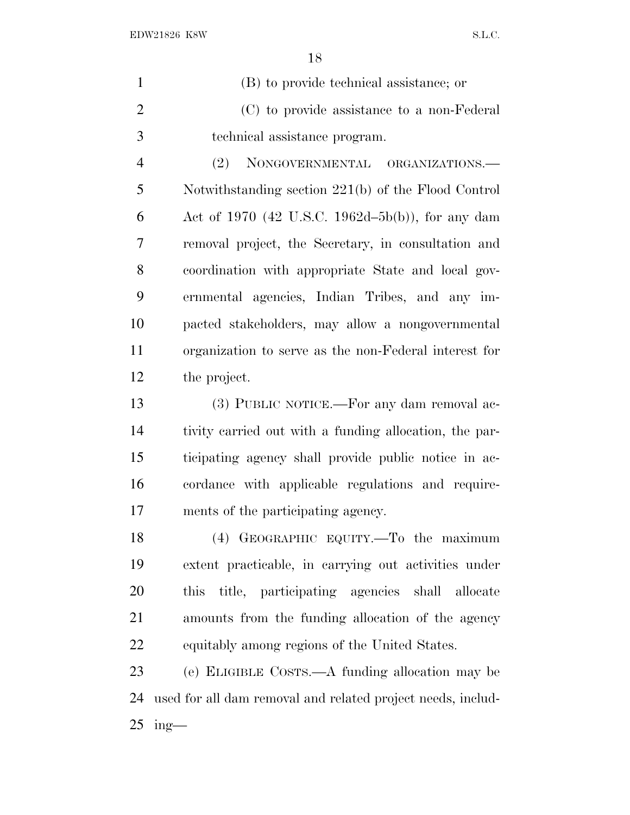| $\mathbf{1}$   | (B) to provide technical assistance; or                     |
|----------------|-------------------------------------------------------------|
| $\overline{2}$ | (C) to provide assistance to a non-Federal                  |
| 3              | technical assistance program.                               |
| $\overline{4}$ | (2)<br>NONGOVERNMENTAL ORGANIZATIONS.                       |
| 5              | Notwithstanding section 221(b) of the Flood Control         |
| 6              | Act of 1970 (42 U.S.C. 1962d–5b(b)), for any dam            |
| 7              | removal project, the Secretary, in consultation and         |
| 8              | coordination with appropriate State and local gov-          |
| 9              | ernmental agencies, Indian Tribes, and any im-              |
| 10             | pacted stakeholders, may allow a nongovernmental            |
| 11             | organization to serve as the non-Federal interest for       |
| 12             | the project.                                                |
| 13             | (3) PUBLIC NOTICE.—For any dam removal ac-                  |
| 14             | tivity carried out with a funding allocation, the par-      |
| 15             | ticipating agency shall provide public notice in ac-        |
| 16             | cordance with applicable regulations and require-           |
| 17             | ments of the participating agency.                          |
| 18             | (4) GEOGRAPHIC EQUITY. To the maximum                       |
| 19             | extent practicable, in carrying out activities under        |
| 20             | title, participating agencies shall<br>this<br>allocate     |
| 21             | amounts from the funding allocation of the agency           |
| 22             | equitably among regions of the United States.               |
| 23             | (e) ELIGIBLE COSTS.—A funding allocation may be             |
| 24             | used for all dam removal and related project needs, includ- |

ing—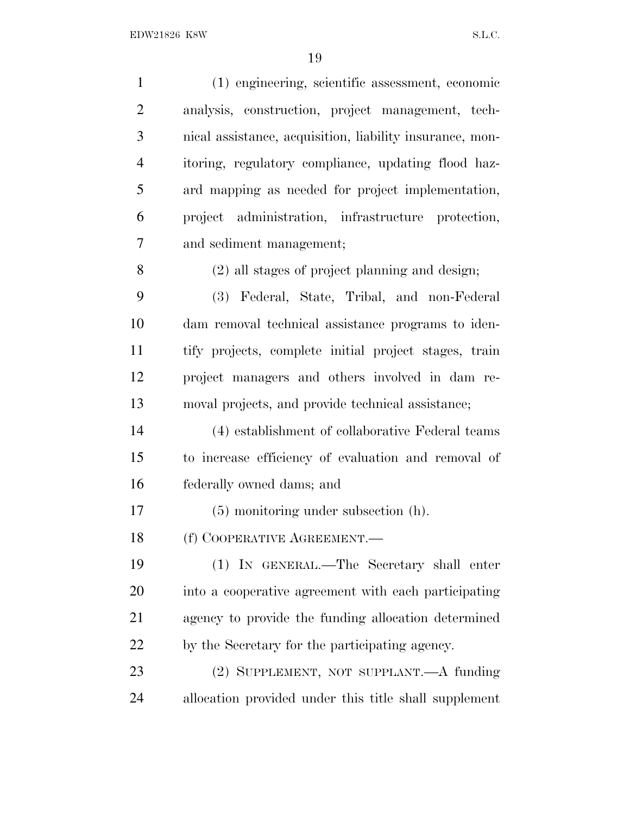| $\mathbf{1}$   | (1) engineering, scientific assessment, economic         |
|----------------|----------------------------------------------------------|
| $\overline{2}$ | analysis, construction, project management, tech-        |
| 3              | nical assistance, acquisition, liability insurance, mon- |
| $\overline{4}$ | itoring, regulatory compliance, updating flood haz-      |
| 5              | ard mapping as needed for project implementation,        |
| 6              | project administration, infrastructure protection,       |
| 7              | and sediment management;                                 |
| 8              | (2) all stages of project planning and design;           |
| 9              | (3) Federal, State, Tribal, and non-Federal              |
| 10             | dam removal technical assistance programs to iden-       |
| 11             | tify projects, complete initial project stages, train    |
| 12             | project managers and others involved in dam re-          |
| 13             | moval projects, and provide technical assistance;        |
| 14             | (4) establishment of collaborative Federal teams         |
| 15             | to increase efficiency of evaluation and removal of      |
| 16             | federally owned dams; and                                |
| 17             | $(5)$ monitoring under subsection $(h)$ .                |
| 18             | (f) COOPERATIVE AGREEMENT.                               |
| 19             | (1) IN GENERAL.—The Secretary shall enter                |
| 20             | into a cooperative agreement with each participating     |
| 21             | agency to provide the funding allocation determined      |
| 22             | by the Secretary for the participating agency.           |
| 23             | (2) SUPPLEMENT, NOT SUPPLANT.—A funding                  |
| 24             | allocation provided under this title shall supplement    |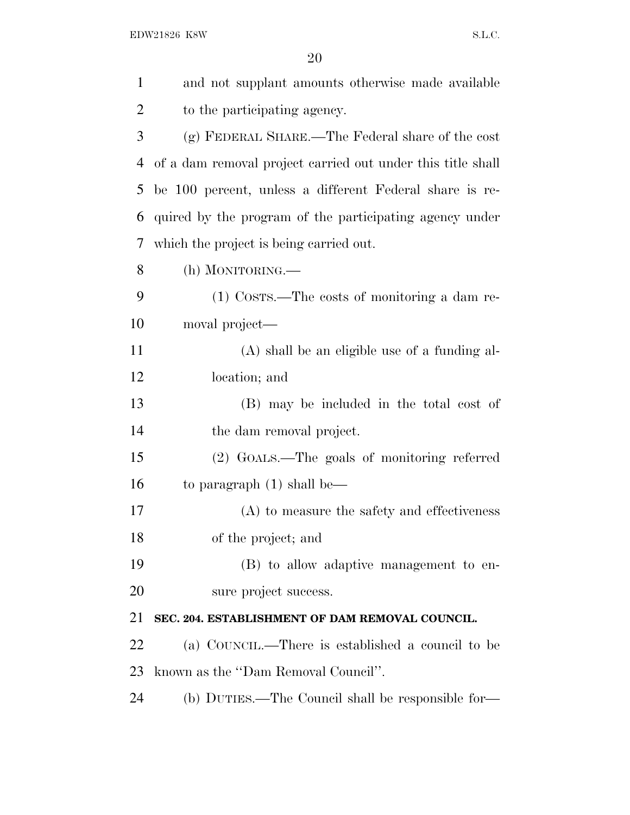| $\mathbf{1}$ | and not supplant amounts otherwise made available           |
|--------------|-------------------------------------------------------------|
| 2            | to the participating agency.                                |
| 3            | (g) FEDERAL SHARE.—The Federal share of the cost            |
| 4            | of a dam removal project carried out under this title shall |
| 5            | be 100 percent, unless a different Federal share is re-     |
| 6            | quired by the program of the participating agency under     |
| 7            | which the project is being carried out.                     |
| 8            | (h) MONITORING.—                                            |
| 9            | (1) Costs.—The costs of monitoring a dam re-                |
| 10           | moval project—                                              |
| 11           | (A) shall be an eligible use of a funding al-               |
| 12           | location; and                                               |
| 13           | (B) may be included in the total cost of                    |
| 14           | the dam removal project.                                    |
| 15           | (2) GOALS.—The goals of monitoring referred                 |
| 16           | to paragraph $(1)$ shall be—                                |
| 17           | (A) to measure the safety and effectiveness                 |
| 18           | of the project; and                                         |
| 19           | (B) to allow adaptive management to en-                     |
| 20           | sure project success.                                       |
| 21           | SEC. 204. ESTABLISHMENT OF DAM REMOVAL COUNCIL.             |
| 22           | (a) COUNCIL.—There is established a council to be           |
| 23           | known as the "Dam Removal Council".                         |
| 24           | (b) DUTIES.—The Council shall be responsible for—           |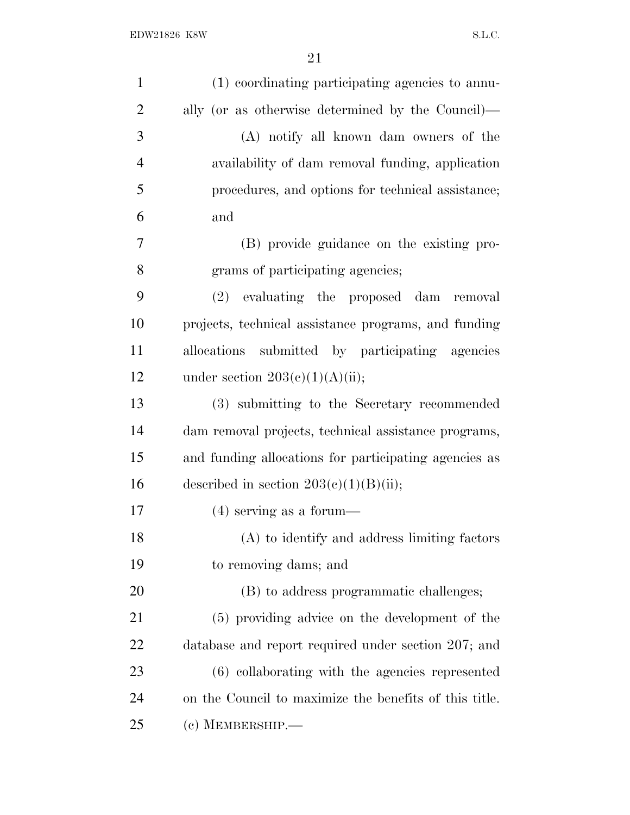| $\mathbf{1}$   | (1) coordinating participating agencies to annu-       |
|----------------|--------------------------------------------------------|
| $\overline{2}$ | ally (or as otherwise determined by the Council)—      |
| 3              | (A) notify all known dam owners of the                 |
| $\overline{4}$ | availability of dam removal funding, application       |
| 5              | procedures, and options for technical assistance;      |
| 6              | and                                                    |
| 7              | (B) provide guidance on the existing pro-              |
| 8              | grams of participating agencies;                       |
| 9              | (2) evaluating the proposed dam removal                |
| 10             | projects, technical assistance programs, and funding   |
| 11             | allocations submitted by participating agencies        |
| 12             | under section $203(e)(1)(A)(ii);$                      |
| 13             | (3) submitting to the Secretary recommended            |
| 14             | dam removal projects, technical assistance programs,   |
| 15             | and funding allocations for participating agencies as  |
| 16             | described in section $203(c)(1)(B)(ii);$               |
| 17             | $(4)$ serving as a forum—                              |
| 18             | (A) to identify and address limiting factors           |
| 19             | to removing dams; and                                  |
| 20             | (B) to address programmatic challenges;                |
| 21             | (5) providing advice on the development of the         |
| 22             | database and report required under section 207; and    |
| 23             | (6) collaborating with the agencies represented        |
| 24             | on the Council to maximize the benefits of this title. |
| 25             | $(c)$ MEMBERSHIP.                                      |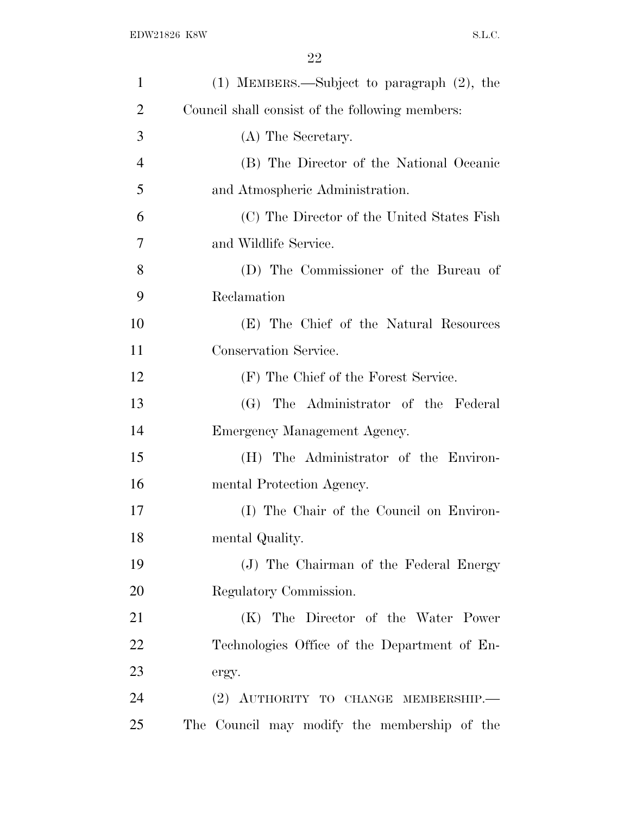| $\mathbf{1}$   | $(1)$ MEMBERS.—Subject to paragraph $(2)$ , the |
|----------------|-------------------------------------------------|
| $\overline{2}$ | Council shall consist of the following members: |
| 3              | (A) The Secretary.                              |
| $\overline{4}$ | (B) The Director of the National Oceanic        |
| 5              | and Atmospheric Administration.                 |
| 6              | (C) The Director of the United States Fish      |
| 7              | and Wildlife Service.                           |
| 8              | (D) The Commissioner of the Bureau of           |
| 9              | Reclamation                                     |
| 10             | (E) The Chief of the Natural Resources          |
| 11             | Conservation Service.                           |
| 12             | (F) The Chief of the Forest Service.            |
| 13             | (G) The Administrator of the Federal            |
| 14             | Emergency Management Agency.                    |
| 15             | (H) The Administrator of the Environ-           |
| 16             | mental Protection Agency.                       |
| 17             | (I) The Chair of the Council on Environ-        |
| 18             | mental Quality.                                 |
| 19             | (J) The Chairman of the Federal Energy          |
| 20             | Regulatory Commission.                          |
| 21             | (K) The Director of the Water Power             |
| 22             | Technologies Office of the Department of En-    |
| 23             | ergy.                                           |
| 24             | (2) AUTHORITY TO CHANGE MEMBERSHIP.             |
| 25             | The Council may modify the membership of the    |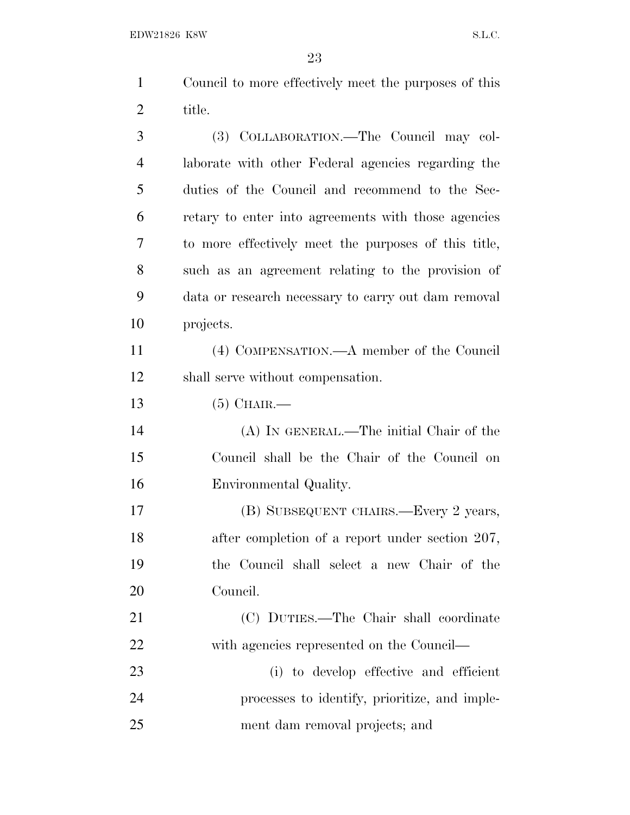| $\mathbf{1}$   | Council to more effectively meet the purposes of this |
|----------------|-------------------------------------------------------|
| 2              | title.                                                |
| 3              | (3) COLLABORATION.—The Council may col-               |
| $\overline{4}$ | laborate with other Federal agencies regarding the    |
| 5              | duties of the Council and recommend to the Sec-       |
| 6              | retary to enter into agreements with those agencies   |
| 7              | to more effectively meet the purposes of this title,  |
| 8              | such as an agreement relating to the provision of     |
| 9              | data or research necessary to carry out dam removal   |
| 10             | projects.                                             |
| 11             | (4) COMPENSATION.—A member of the Council             |

shall serve without compensation.

(5) CHAIR.—

 (A) IN GENERAL.—The initial Chair of the Council shall be the Chair of the Council on Environmental Quality.

 (B) SUBSEQUENT CHAIRS.—Every 2 years, 18 after completion of a report under section 207, the Council shall select a new Chair of the Council.

 (C) DUTIES.—The Chair shall coordinate with agencies represented on the Council—

 (i) to develop effective and efficient processes to identify, prioritize, and imple-ment dam removal projects; and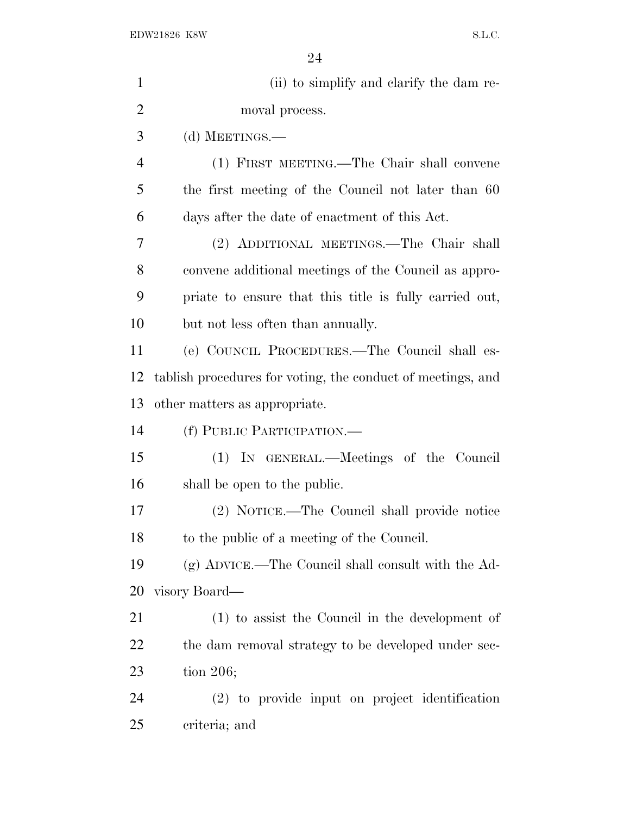| $\mathbf{1}$   | (ii) to simplify and clarify the dam re-                    |
|----------------|-------------------------------------------------------------|
| $\overline{2}$ | moval process.                                              |
| 3              | (d) MEETINGS.—                                              |
| $\overline{4}$ | (1) FIRST MEETING.—The Chair shall convene                  |
| 5              | the first meeting of the Council not later than 60          |
| 6              | days after the date of enactment of this Act.               |
| $\overline{7}$ | (2) ADDITIONAL MEETINGS.—The Chair shall                    |
| 8              | convene additional meetings of the Council as appro-        |
| 9              | priate to ensure that this title is fully carried out,      |
| 10             | but not less often than annually.                           |
| 11             | (e) COUNCIL PROCEDURES.—The Council shall es-               |
| 12             | tablish procedures for voting, the conduct of meetings, and |
| 13             | other matters as appropriate.                               |
| 14             | (f) PUBLIC PARTICIPATION.—                                  |
| 15             | (1) IN GENERAL.—Meetings of the Council                     |
| 16             | shall be open to the public.                                |
| 17             | (2) NOTICE.—The Council shall provide notice                |
| 18             | to the public of a meeting of the Council.                  |
| 19             | (g) ADVICE.—The Council shall consult with the Ad-          |
| 20             | visory Board—                                               |
| 21             | (1) to assist the Council in the development of             |
| 22             | the dam removal strategy to be developed under sec-         |
| 23             | tion $206$ ;                                                |
| 24             | (2) to provide input on project identification              |
| 25             | criteria; and                                               |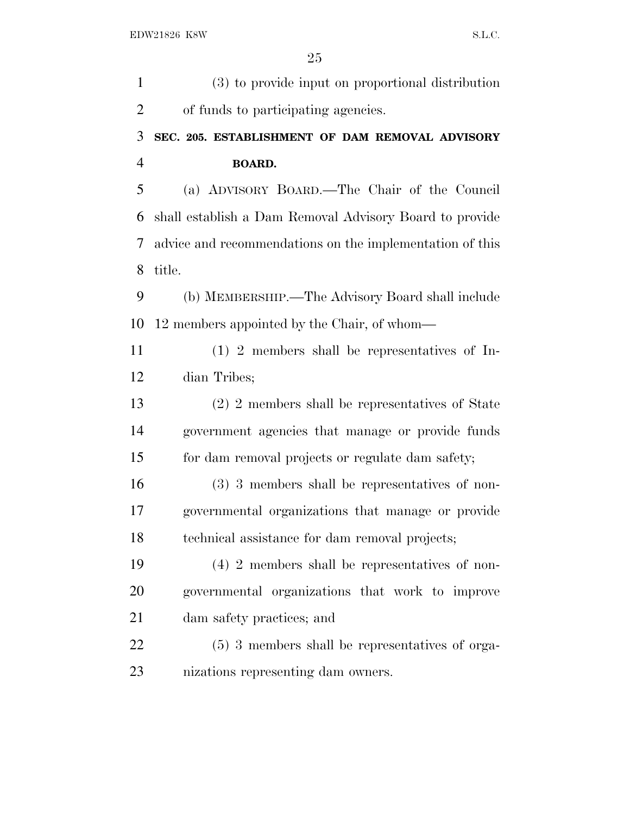| $\mathbf{1}$   | (3) to provide input on proportional distribution        |
|----------------|----------------------------------------------------------|
| $\overline{2}$ | of funds to participating agencies.                      |
| 3              | SEC. 205. ESTABLISHMENT OF DAM REMOVAL ADVISORY          |
| $\overline{4}$ | <b>BOARD.</b>                                            |
| 5              | (a) ADVISORY BOARD.—The Chair of the Council             |
| 6              | shall establish a Dam Removal Advisory Board to provide  |
| 7              | advice and recommendations on the implementation of this |
| 8              | title.                                                   |
| 9              | (b) MEMBERSHIP.—The Advisory Board shall include         |
| 10             | 12 members appointed by the Chair, of whom—              |
| 11             | $(1)$ 2 members shall be representatives of In-          |
| 12             | dian Tribes;                                             |
| 13             | (2) 2 members shall be representatives of State          |
| 14             | government agencies that manage or provide funds         |
| 15             | for dam removal projects or regulate dam safety;         |
| 16             | $(3)$ 3 members shall be representatives of non-         |
| 17             | governmental organizations that manage or provide        |
| 18             | technical assistance for dam removal projects;           |
| 19             | $(4)$ 2 members shall be representatives of non-         |
| <b>20</b>      | governmental organizations that work to improve          |
| 21             | dam safety practices; and                                |
| 22             | $(5)$ 3 members shall be representatives of orga-        |
| 23             | nizations representing dam owners.                       |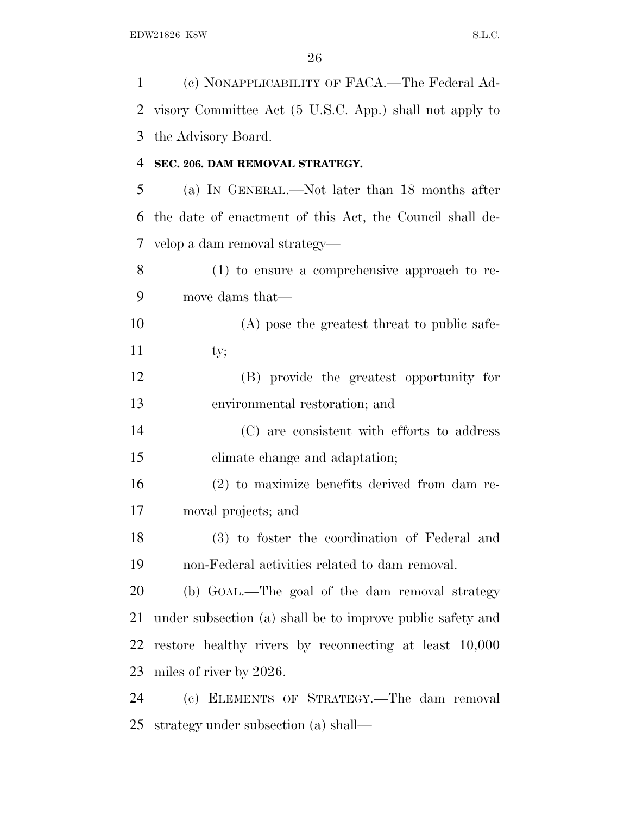| 1              | (c) NONAPPLICABILITY OF FACA.—The Federal Ad-              |
|----------------|------------------------------------------------------------|
| $\overline{2}$ | visory Committee Act (5 U.S.C. App.) shall not apply to    |
| 3              | the Advisory Board.                                        |
| 4              | SEC. 206. DAM REMOVAL STRATEGY.                            |
| 5              | (a) IN GENERAL.—Not later than 18 months after             |
| 6              | the date of enactment of this Act, the Council shall de-   |
| 7              | velop a dam removal strategy—                              |
| 8              | $(1)$ to ensure a comprehensive approach to re-            |
| 9              | move dams that—                                            |
| 10             | (A) pose the greatest threat to public safe-               |
| 11             | ty;                                                        |
| 12             | (B) provide the greatest opportunity for                   |
| 13             | environmental restoration; and                             |
| 14             | (C) are consistent with efforts to address                 |
| 15             | climate change and adaptation;                             |
| 16             | $(2)$ to maximize benefits derived from dam re-            |
| 17             | moval projects; and                                        |
| 18             | (3) to foster the coordination of Federal and              |
| 19             | non-Federal activities related to dam removal.             |
| 20             | (b) GOAL.—The goal of the dam removal strategy             |
| 21             | under subsection (a) shall be to improve public safety and |
| 22             | restore healthy rivers by reconnecting at least 10,000     |
| 23             | miles of river by 2026.                                    |
| 24             | (c) ELEMENTS OF STRATEGY.—The dam removal                  |
| 25             | strategy under subsection (a) shall—                       |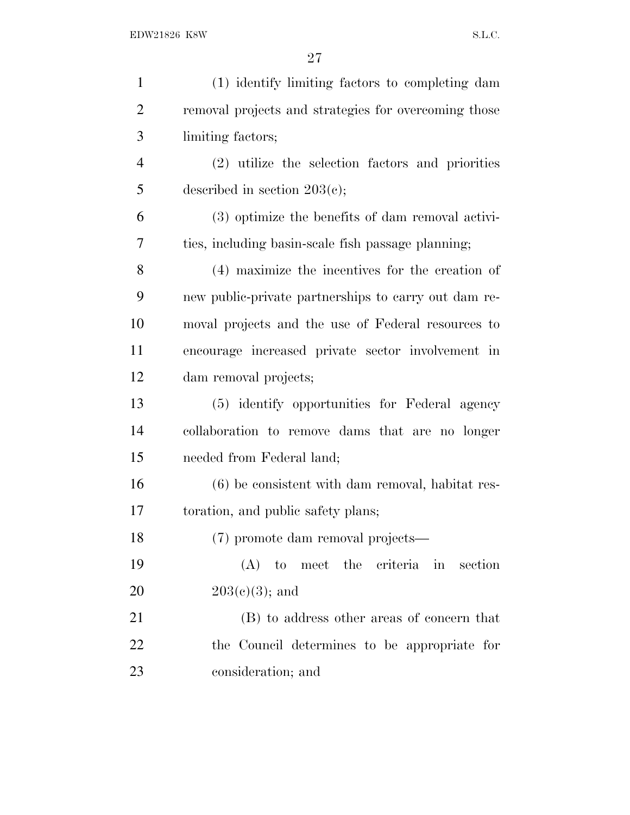| $\mathbf{1}$   | (1) identify limiting factors to completing dam      |
|----------------|------------------------------------------------------|
| $\overline{2}$ | removal projects and strategies for overcoming those |
| 3              | limiting factors;                                    |
| $\overline{4}$ | (2) utilize the selection factors and priorities     |
| 5              | described in section $203(c)$ ;                      |
| 6              | (3) optimize the benefits of dam removal activi-     |
| 7              | ties, including basin-scale fish passage planning;   |
| 8              | (4) maximize the incentives for the creation of      |
| 9              | new public-private partnerships to carry out dam re- |
| 10             | moval projects and the use of Federal resources to   |
| 11             | encourage increased private sector involvement in    |
| 12             | dam removal projects;                                |
| 13             | (5) identify opportunities for Federal agency        |
| 14             | collaboration to remove dams that are no longer      |
| 15             | needed from Federal land;                            |
| 16             | $(6)$ be consistent with dam removal, habitat res-   |
| 17             | toration, and public safety plans;                   |
| 18             | (7) promote dam removal projects—                    |
| 19             | $(A)$ to meet the criteria in section                |
| 20             | $203(c)(3)$ ; and                                    |
| 21             | (B) to address other areas of concern that           |
| 22             | the Council determines to be appropriate for         |
| 23             | consideration; and                                   |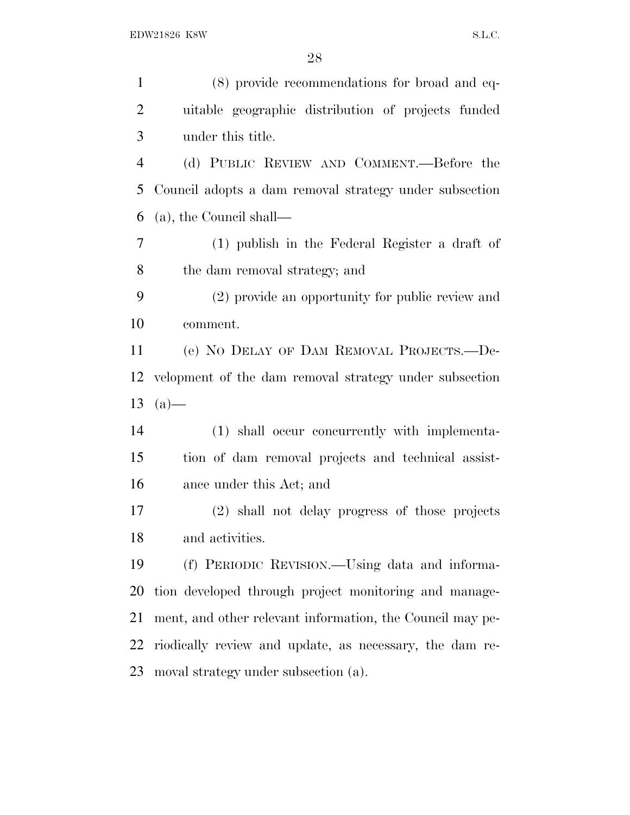| $\mathbf{1}$   | (8) provide recommendations for broad and eq-             |
|----------------|-----------------------------------------------------------|
| $\overline{2}$ | uitable geographic distribution of projects funded        |
| 3              | under this title.                                         |
| $\overline{4}$ | (d) PUBLIC REVIEW AND COMMENT.—Before the                 |
| 5              | Council adopts a dam removal strategy under subsection    |
| 6              | $(a)$ , the Council shall—                                |
| $\overline{7}$ | (1) publish in the Federal Register a draft of            |
| 8              | the dam removal strategy; and                             |
| 9              | (2) provide an opportunity for public review and          |
| 10             | comment.                                                  |
| 11             | (e) NO DELAY OF DAM REMOVAL PROJECTS.--De-                |
| 12             | velopment of the dam removal strategy under subsection    |
| 13             | $(a)$ —                                                   |
| 14             | (1) shall occur concurrently with implementa-             |
| 15             | tion of dam removal projects and technical assist-        |
| 16             | ance under this Act; and                                  |
| 17             | (2) shall not delay progress of those projects            |
| 18             | and activities.                                           |
| 19             | (f) PERIODIC REVISION.—Using data and informa-            |
| 20             | tion developed through project monitoring and manage-     |
| 21             | ment, and other relevant information, the Council may pe- |
| 22             | riodically review and update, as necessary, the dam re-   |
| 23             | moval strategy under subsection (a).                      |
|                |                                                           |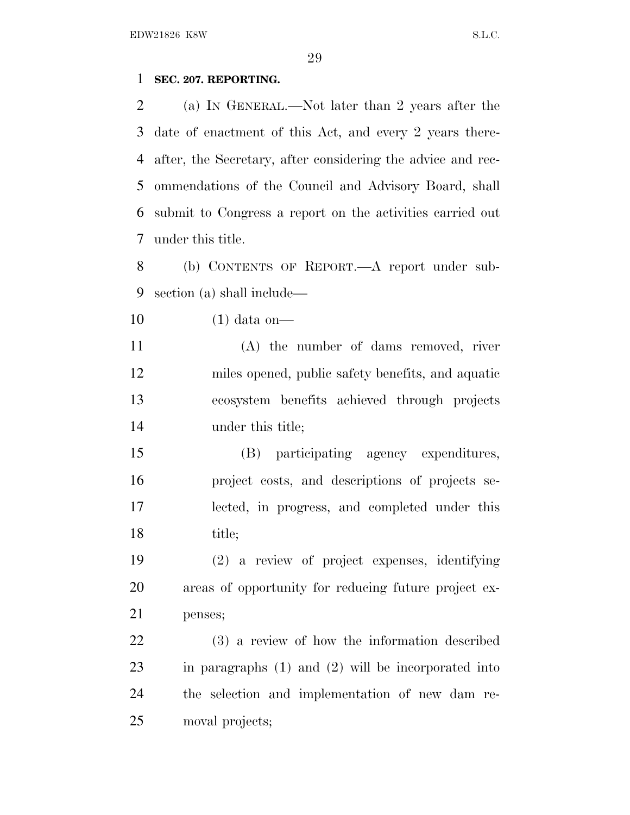### **SEC. 207. REPORTING.**

 (a) I<sup>N</sup> GENERAL.—Not later than 2 years after the date of enactment of this Act, and every 2 years there- after, the Secretary, after considering the advice and rec- ommendations of the Council and Advisory Board, shall submit to Congress a report on the activities carried out under this title.

 (b) CONTENTS OF REPORT.—A report under sub-section (a) shall include—

(1) data on—

 (A) the number of dams removed, river miles opened, public safety benefits, and aquatic ecosystem benefits achieved through projects 14 under this title;

 (B) participating agency expenditures, project costs, and descriptions of projects se- lected, in progress, and completed under this 18 title:

 (2) a review of project expenses, identifying areas of opportunity for reducing future project ex-penses;

 (3) a review of how the information described in paragraphs (1) and (2) will be incorporated into the selection and implementation of new dam re-moval projects;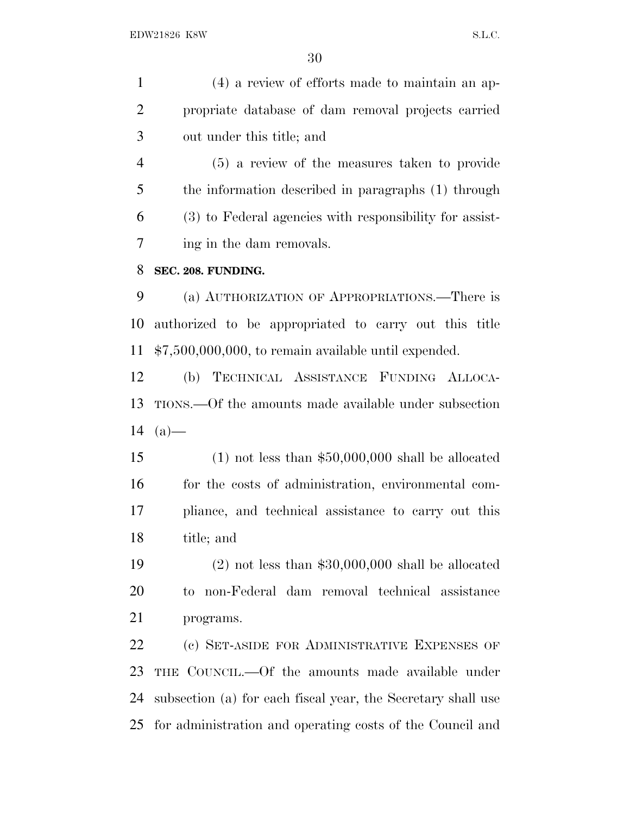(4) a review of efforts made to maintain an ap- propriate database of dam removal projects carried out under this title; and

 (5) a review of the measures taken to provide the information described in paragraphs (1) through (3) to Federal agencies with responsibility for assist-ing in the dam removals.

### **SEC. 208. FUNDING.**

 (a) AUTHORIZATION OF APPROPRIATIONS.—There is authorized to be appropriated to carry out this title \$7,500,000,000, to remain available until expended.

 (b) TECHNICAL ASSISTANCE FUNDING ALLOCA- TIONS.—Of the amounts made available under subsection 14  $(a)$ —

 (1) not less than \$50,000,000 shall be allocated for the costs of administration, environmental com- pliance, and technical assistance to carry out this title; and

 (2) not less than \$30,000,000 shall be allocated to non-Federal dam removal technical assistance programs.

 (c) SET-ASIDE FOR ADMINISTRATIVE EXPENSES OF THE COUNCIL.—Of the amounts made available under subsection (a) for each fiscal year, the Secretary shall use for administration and operating costs of the Council and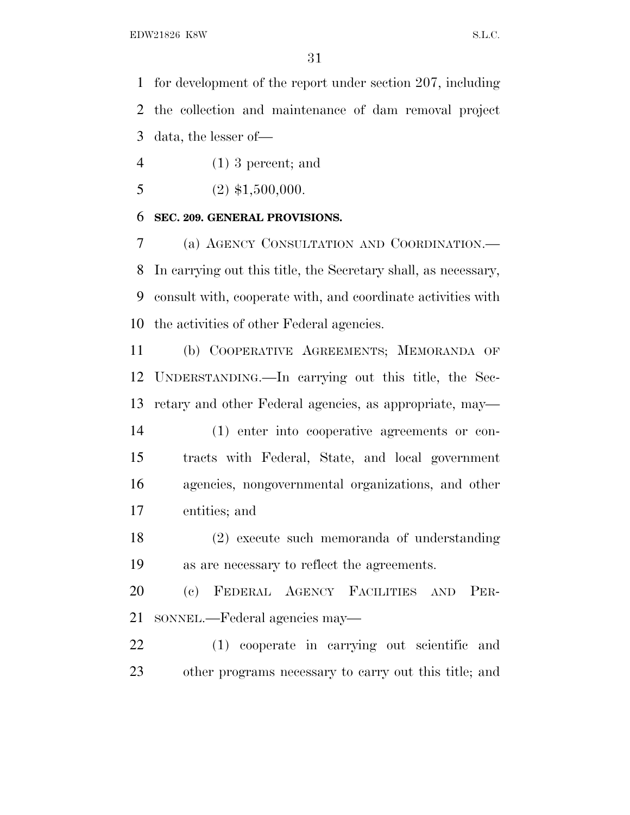for development of the report under section 207, including the collection and maintenance of dam removal project data, the lesser of—

- (1) 3 percent; and
- 5 (2)  $$1,500,000$ .

## **SEC. 209. GENERAL PROVISIONS.**

 (a) AGENCY CONSULTATION AND COORDINATION.— In carrying out this title, the Secretary shall, as necessary, consult with, cooperate with, and coordinate activities with the activities of other Federal agencies.

 (b) COOPERATIVE AGREEMENTS; MEMORANDA OF UNDERSTANDING.—In carrying out this title, the Sec-retary and other Federal agencies, as appropriate, may—

 (1) enter into cooperative agreements or con- tracts with Federal, State, and local government agencies, nongovernmental organizations, and other entities; and

 (2) execute such memoranda of understanding as are necessary to reflect the agreements.

 (c) FEDERAL AGENCY FACILITIES AND PER-SONNEL.—Federal agencies may—

 (1) cooperate in carrying out scientific and other programs necessary to carry out this title; and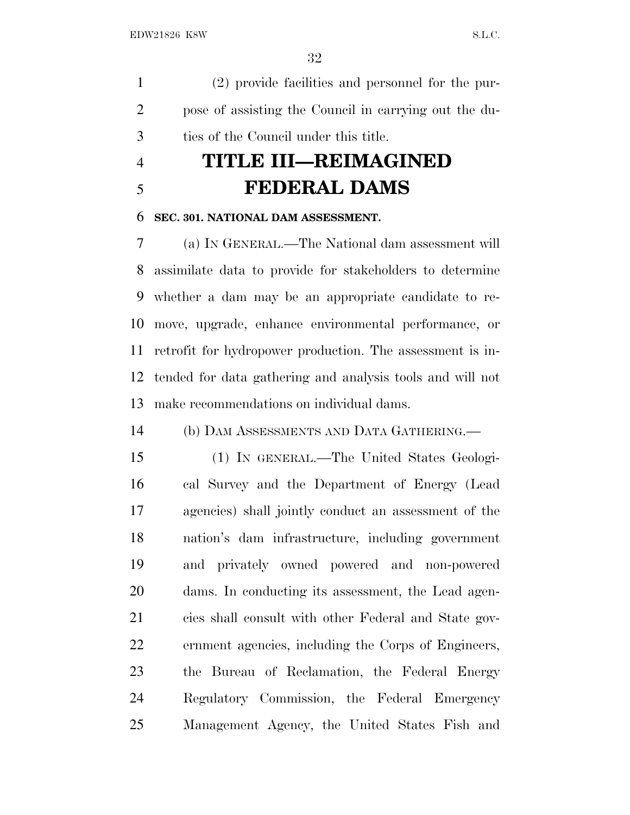(2) provide facilities and personnel for the pur- pose of assisting the Council in carrying out the du-ties of the Council under this title.

# **TITLE III—REIMAGINED FEDERAL DAMS**

### **SEC. 301. NATIONAL DAM ASSESSMENT.**

 (a) I<sup>N</sup> GENERAL.—The National dam assessment will assimilate data to provide for stakeholders to determine whether a dam may be an appropriate candidate to re- move, upgrade, enhance environmental performance, or retrofit for hydropower production. The assessment is in- tended for data gathering and analysis tools and will not make recommendations on individual dams.

(b) DAM ASSESSMENTS AND DATA GATHERING.—

 (1) IN GENERAL.—The United States Geologi- cal Survey and the Department of Energy (Lead agencies) shall jointly conduct an assessment of the nation's dam infrastructure, including government and privately owned powered and non-powered dams. In conducting its assessment, the Lead agen- cies shall consult with other Federal and State gov- ernment agencies, including the Corps of Engineers, the Bureau of Reclamation, the Federal Energy Regulatory Commission, the Federal Emergency Management Agency, the United States Fish and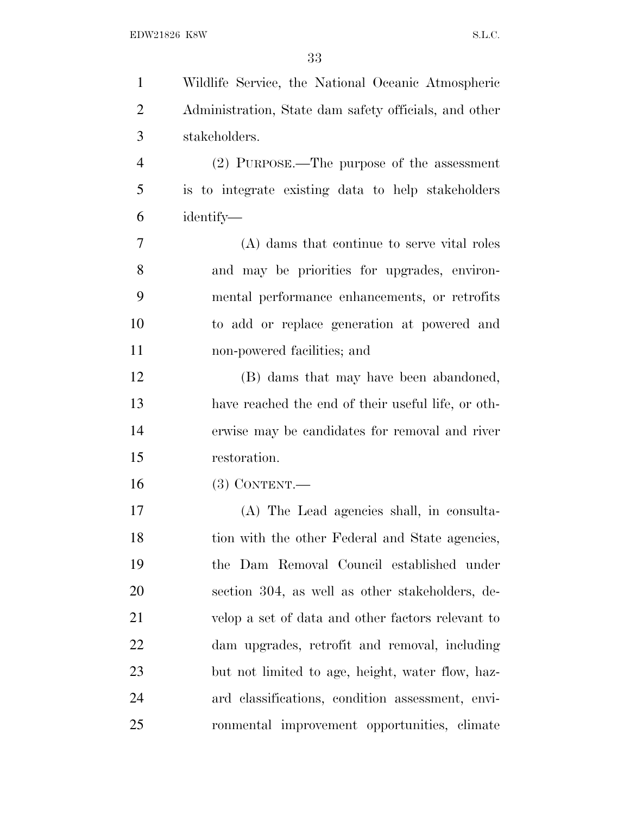| $\mathbf{1}$   | Wildlife Service, the National Oceanic Atmospheric    |
|----------------|-------------------------------------------------------|
| $\overline{2}$ | Administration, State dam safety officials, and other |
| 3              | stakeholders.                                         |
| $\overline{4}$ | (2) PURPOSE.—The purpose of the assessment            |
| 5              | is to integrate existing data to help stakeholders    |
| 6              | identify—                                             |
| 7              | (A) dams that continue to serve vital roles           |
| 8              | and may be priorities for upgrades, environ-          |
| 9              | mental performance enhancements, or retrofits         |
| 10             | to add or replace generation at powered and           |
| 11             | non-powered facilities; and                           |
| 12             | (B) dams that may have been abandoned,                |
| 13             | have reached the end of their useful life, or oth-    |
| 14             | erwise may be candidates for removal and river        |
| 15             | restoration.                                          |
| 16             | $(3)$ CONTENT.                                        |
| 17             | (A) The Lead agencies shall, in consulta-             |
| 18             | tion with the other Federal and State agencies,       |
| 19             | the Dam Removal Council established under             |
| 20             | section 304, as well as other stakeholders, de-       |
| 21             | velop a set of data and other factors relevant to     |
| 22             | dam upgrades, retrofit and removal, including         |
| 23             | but not limited to age, height, water flow, haz-      |
| 24             | ard classifications, condition assessment, envi-      |
| 25             | ronmental improvement opportunities, climate          |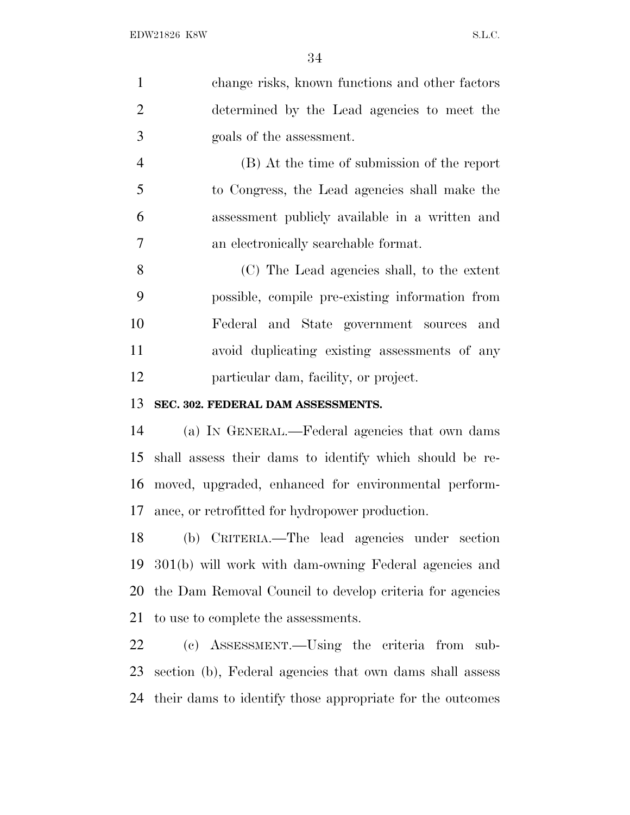change risks, known functions and other factors determined by the Lead agencies to meet the goals of the assessment.

 (B) At the time of submission of the report to Congress, the Lead agencies shall make the assessment publicly available in a written and an electronically searchable format.

 (C) The Lead agencies shall, to the extent possible, compile pre-existing information from Federal and State government sources and avoid duplicating existing assessments of any particular dam, facility, or project.

### **SEC. 302. FEDERAL DAM ASSESSMENTS.**

 (a) I<sup>N</sup> GENERAL.—Federal agencies that own dams shall assess their dams to identify which should be re- moved, upgraded, enhanced for environmental perform-ance, or retrofitted for hydropower production.

 (b) CRITERIA.—The lead agencies under section 301(b) will work with dam-owning Federal agencies and the Dam Removal Council to develop criteria for agencies to use to complete the assessments.

 (c) ASSESSMENT.—Using the criteria from sub- section (b), Federal agencies that own dams shall assess their dams to identify those appropriate for the outcomes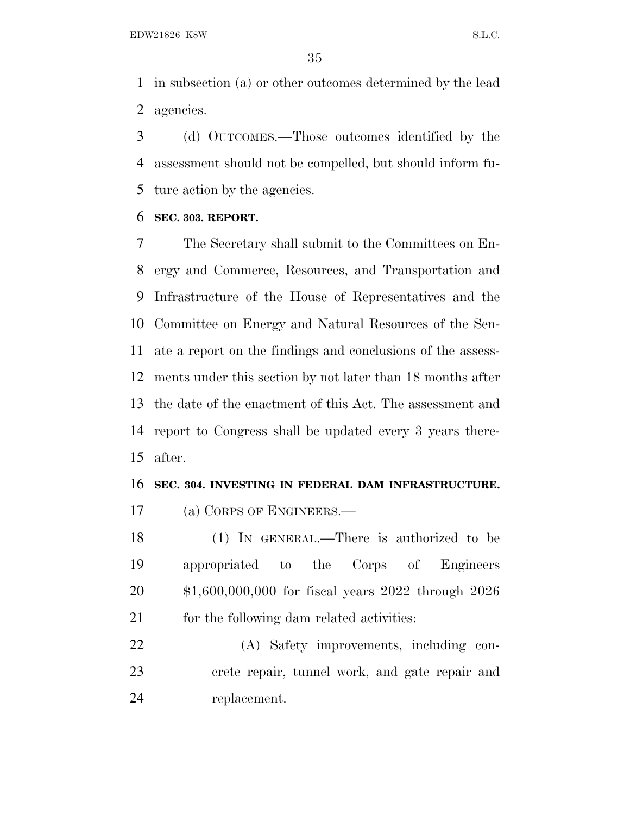in subsection (a) or other outcomes determined by the lead agencies.

 (d) OUTCOMES.—Those outcomes identified by the assessment should not be compelled, but should inform fu-ture action by the agencies.

## **SEC. 303. REPORT.**

 The Secretary shall submit to the Committees on En- ergy and Commerce, Resources, and Transportation and Infrastructure of the House of Representatives and the Committee on Energy and Natural Resources of the Sen- ate a report on the findings and conclusions of the assess- ments under this section by not later than 18 months after the date of the enactment of this Act. The assessment and report to Congress shall be updated every 3 years there-after.

# **SEC. 304. INVESTING IN FEDERAL DAM INFRASTRUCTURE.**

(a) CORPS OF ENGINEERS.—

 (1) IN GENERAL.—There is authorized to be appropriated to the Corps of Engineers \$1,600,000,000 for fiscal years 2022 through 2026 21 for the following dam related activities:

 (A) Safety improvements, including con- crete repair, tunnel work, and gate repair and replacement.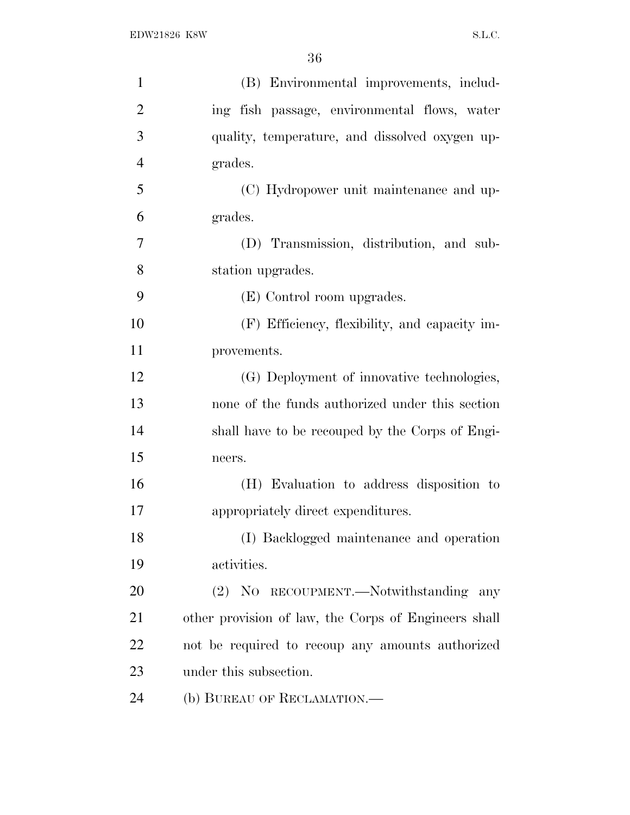| $\mathbf{1}$   | (B) Environmental improvements, includ-              |
|----------------|------------------------------------------------------|
| $\overline{2}$ | ing fish passage, environmental flows, water         |
| 3              | quality, temperature, and dissolved oxygen up-       |
| $\overline{4}$ | grades.                                              |
| 5              | (C) Hydropower unit maintenance and up-              |
| 6              | grades.                                              |
| 7              | (D) Transmission, distribution, and sub-             |
| 8              | station upgrades.                                    |
| 9              | (E) Control room upgrades.                           |
| 10             | (F) Efficiency, flexibility, and capacity im-        |
| 11             | provements.                                          |
| 12             | (G) Deployment of innovative technologies,           |
| 13             | none of the funds authorized under this section      |
| 14             | shall have to be recouped by the Corps of Engi-      |
| 15             | neers.                                               |
| 16             | (H) Evaluation to address disposition to             |
| 17             | appropriately direct expenditures.                   |
| 18             | (I) Backlogged maintenance and operation             |
| 19             | activities.                                          |
| 20             | (2) NO RECOUPMENT.—Notwithstanding any               |
| 21             | other provision of law, the Corps of Engineers shall |
| 22             | not be required to recoup any amounts authorized     |
| 23             | under this subsection.                               |
| 24             | (b) BUREAU OF RECLAMATION.—                          |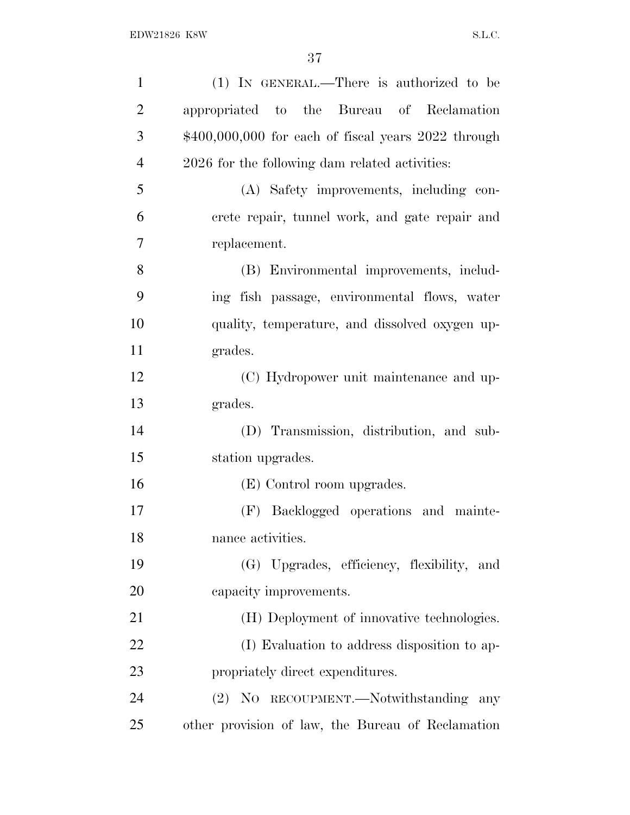| $\mathbf{1}$   | (1) IN GENERAL.—There is authorized to be              |
|----------------|--------------------------------------------------------|
| $\overline{2}$ | appropriated to the Bureau of Reclamation              |
| 3              | $$400,000,000$ for each of fiscal years $2022$ through |
| $\overline{4}$ | 2026 for the following dam related activities:         |
| 5              | (A) Safety improvements, including con-                |
| 6              | crete repair, tunnel work, and gate repair and         |
| 7              | replacement.                                           |
| 8              | (B) Environmental improvements, includ-                |
| 9              | ing fish passage, environmental flows, water           |
| 10             | quality, temperature, and dissolved oxygen up-         |
| 11             | grades.                                                |
| 12             | (C) Hydropower unit maintenance and up-                |
| 13             | grades.                                                |
| 14             | (D) Transmission, distribution, and sub-               |
| 15             | station upgrades.                                      |
| 16             | (E) Control room upgrades.                             |
| 17             | (F) Backlogged operations and mainte-                  |
| 18             | nance activities.                                      |
| 19             | (G) Upgrades, efficiency, flexibility, and             |
| 20             | capacity improvements.                                 |
| 21             | (H) Deployment of innovative technologies.             |
| 22             | (I) Evaluation to address disposition to ap-           |
| 23             | propriately direct expenditures.                       |
| 24             | (2) NO RECOUPMENT.—Notwithstanding any                 |
| 25             | other provision of law, the Bureau of Reclamation      |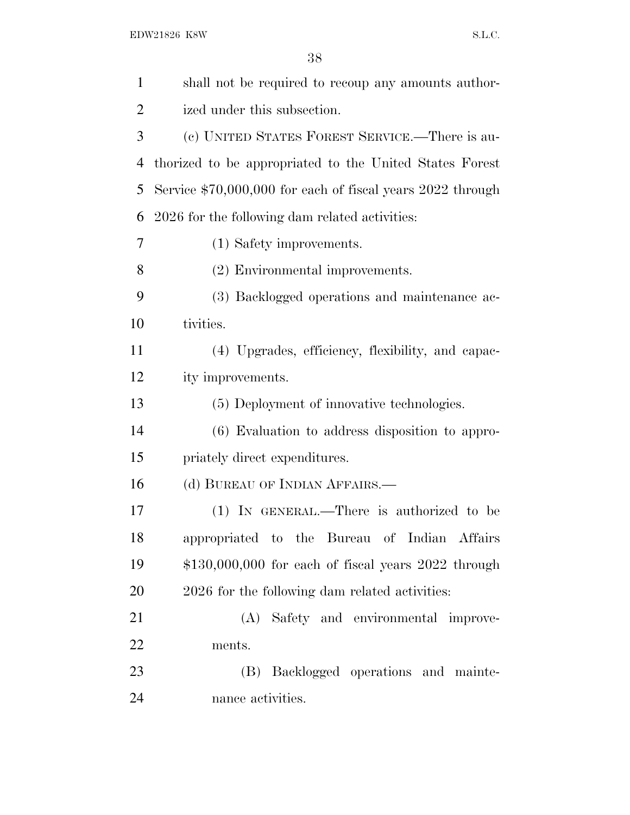| $\mathbf{1}$ | shall not be required to recoup any amounts author-        |
|--------------|------------------------------------------------------------|
| 2            | ized under this subsection.                                |
| 3            | (c) UNITED STATES FOREST SERVICE.—There is au-             |
| 4            | thorized to be appropriated to the United States Forest    |
| 5            | Service \$70,000,000 for each of fiscal years 2022 through |
| 6            | 2026 for the following dam related activities:             |
| 7            | (1) Safety improvements.                                   |
| 8            | (2) Environmental improvements.                            |
| 9            | (3) Backlogged operations and maintenance ac-              |
| 10           | tivities.                                                  |
| 11           | (4) Upgrades, efficiency, flexibility, and capac-          |
| 12           | ity improvements.                                          |
| 13           | (5) Deployment of innovative technologies.                 |
| 14           | (6) Evaluation to address disposition to appro-            |
| 15           | priately direct expenditures.                              |
| 16           | (d) BUREAU OF INDIAN AFFAIRS.                              |
| 17           | (1) IN GENERAL.—There is authorized to be                  |
| 18           | appropriated to the Bureau of Indian Affairs               |
| 19           | $$130,000,000$ for each of fiscal years $2022$ through     |
| 20           | 2026 for the following dam related activities:             |
| 21           | (A) Safety and environmental improve-                      |
| 22           | ments.                                                     |
| 23           | (B) Backlogged operations and mainte-                      |
| 24           | nance activities.                                          |